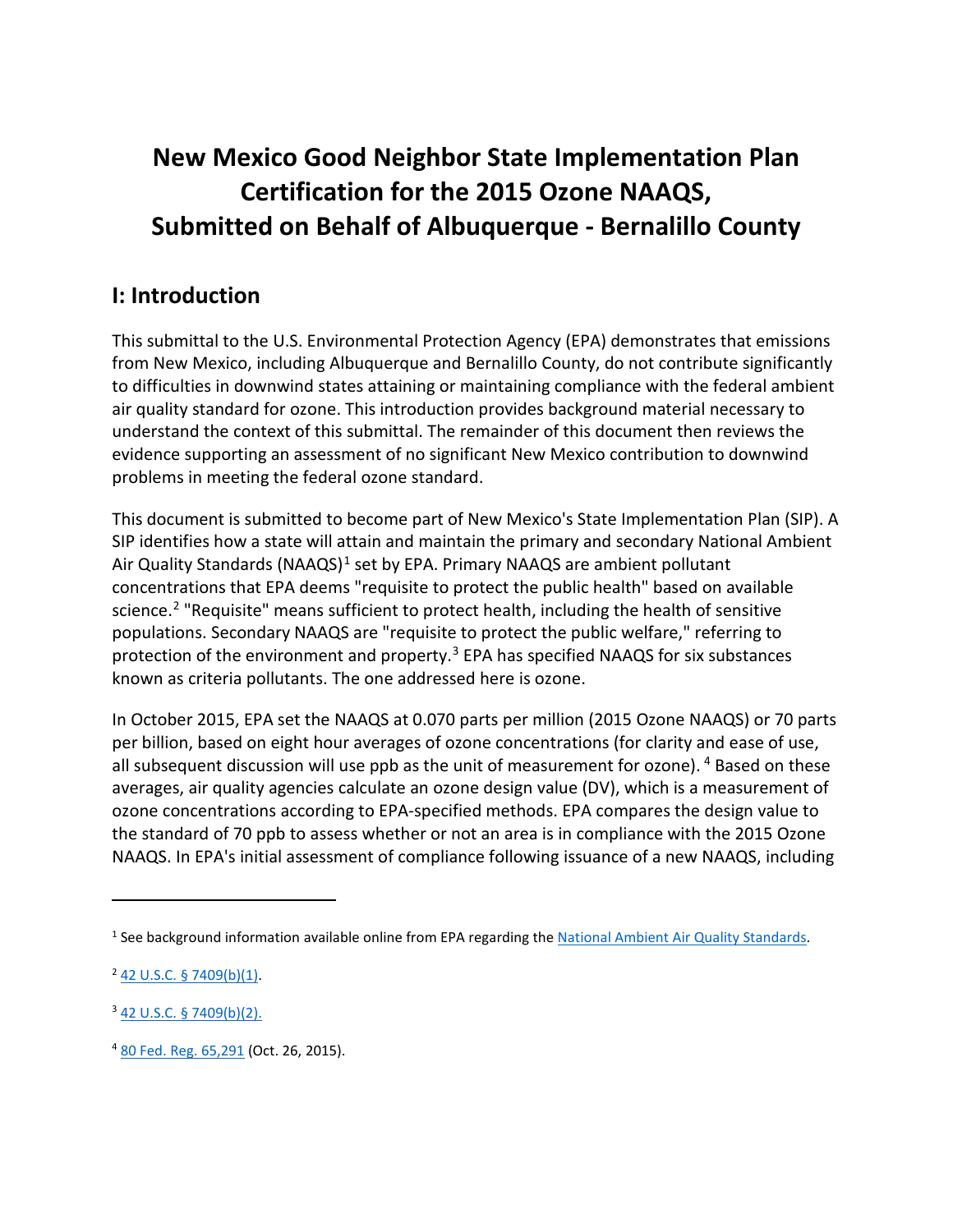# **New Mexico Good Neighbor State Implementation Plan Certification for the 2015 Ozone NAAQS, Submitted on Behalf of Albuquerque - Bernalillo County**

## **I: Introduction**

This submittal to the U.S. Environmental Protection Agency (EPA) demonstrates that emissions from New Mexico, including Albuquerque and Bernalillo County, do not contribute significantly to difficulties in downwind states attaining or maintaining compliance with the federal ambient air quality standard for ozone. This introduction provides background material necessary to understand the context of this submittal. The remainder of this document then reviews the evidence supporting an assessment of no significant New Mexico contribution to downwind problems in meeting the federal ozone standard.

This document is submitted to become part of New Mexico's State Implementation Plan (SIP). A SIP identifies how a state will attain and maintain the primary and secondary National Ambient Air Quality Standards (NAAQS)<sup>[1](#page-0-0)</sup> set by EPA. Primary NAAQS are ambient pollutant concentrations that EPA deems "requisite to protect the public health" based on available science.<sup>[2](#page-0-1)</sup> "Requisite" means sufficient to protect health, including the health of sensitive populations. Secondary NAAQS are "requisite to protect the public welfare," referring to protection of the environment and property. $3$  EPA has specified NAAQS for six substances known as criteria pollutants. The one addressed here is ozone.

<span id="page-0-4"></span>In October 2015, EPA set the NAAQS at 0.070 parts per million (2015 Ozone NAAQS) or 70 parts per billion, based on eight hour averages of ozone concentrations (for clarity and ease of use, all subsequent discussion will use ppb as the unit of measurement for ozone). <sup>[4](#page-0-3)</sup> Based on these averages, air quality agencies calculate an ozone design value (DV), which is a measurement of ozone concentrations according to EPA-specified methods. EPA compares the design value to the standard of 70 ppb to assess whether or not an area is in compliance with the 2015 Ozone NAAQS. In EPA's initial assessment of compliance following issuance of a new NAAQS, including

<span id="page-0-0"></span><sup>1</sup> See background information available online from EPA regarding th[e National Ambient Air Quality Standards.](https://www.epa.gov/criteria-air-pollutants/naaqs-table)

<span id="page-0-1"></span><sup>2</sup> [42 U.S.C. § 7409\(b\)\(1\).](https://uscode.house.gov/view.xhtml?req=granuleid:USC-prelim-title42-section7409&num=0&edition=prelim)

<span id="page-0-2"></span><sup>3</sup> [42 U.S.C. § 7409\(b\)\(2\).](https://uscode.house.gov/view.xhtml?req=granuleid:USC-prelim-title42-section7409&num=0&edition=prelim)

<span id="page-0-3"></span><sup>4</sup> [80 Fed. Reg. 65,291](https://www.federalregister.gov/documents/2015/10/26/2015-26594/national-ambient-air-quality-standards-for-ozone) (Oct. 26, 2015).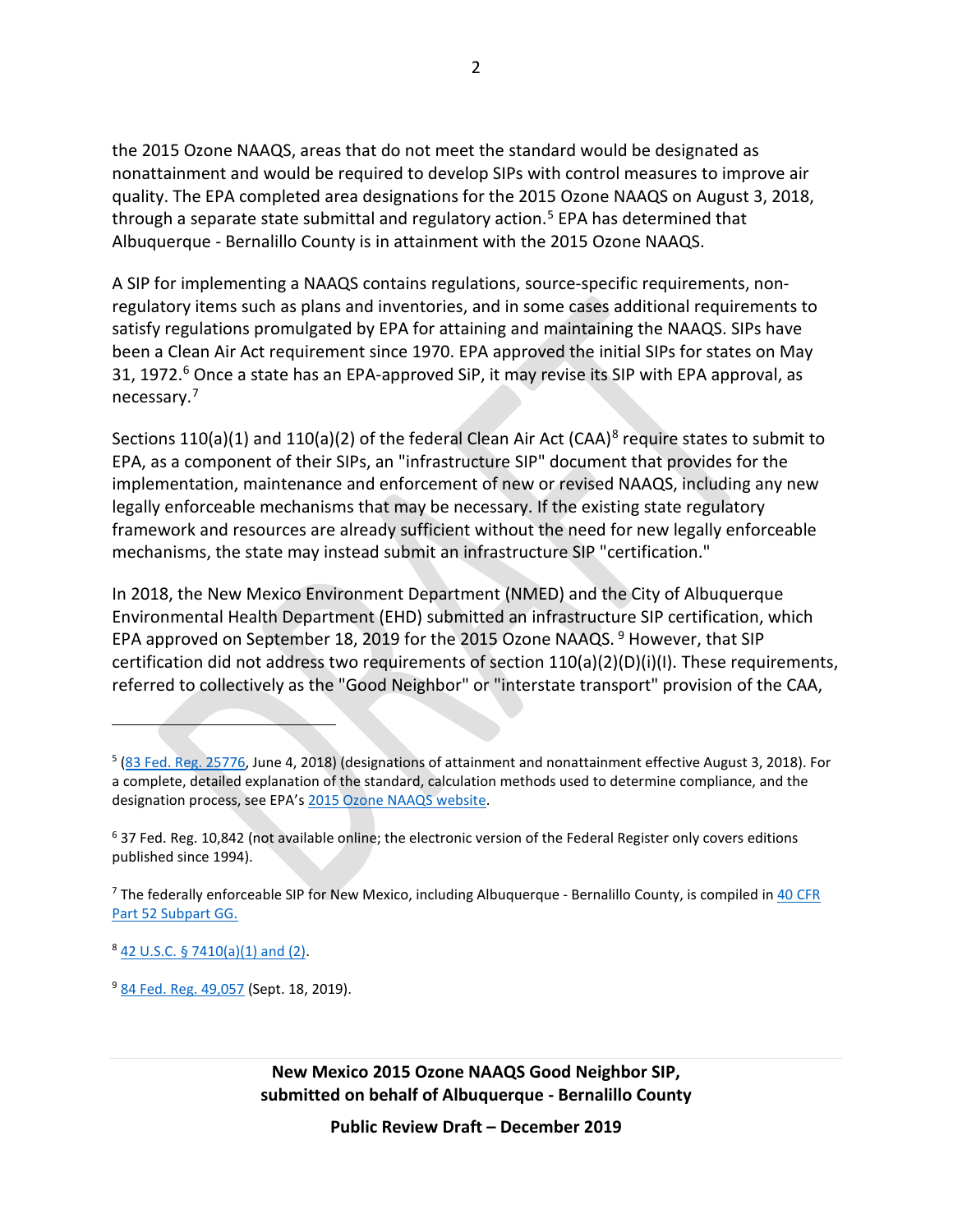<span id="page-1-5"></span>the 2015 Ozone NAAQS, areas that do not meet the standard would be designated as nonattainment and would be required to develop SIPs with control measures to improve air quality. The EPA completed area designations for the 2015 Ozone NAAQS on August 3, 2018, through a separate state submittal and regulatory action.<sup>[5](#page-1-0)</sup> EPA has determined that Albuquerque - Bernalillo County is in attainment with the 2015 Ozone NAAQS.

A SIP for implementing a NAAQS contains regulations, source-specific requirements, nonregulatory items such as plans and inventories, and in some cases additional requirements to satisfy regulations promulgated by EPA for attaining and maintaining the NAAQS. SIPs have been a Clean Air Act requirement since 1970. EPA approved the initial SIPs for states on May 31, 1972.<sup>[6](#page-1-1)</sup> Once a state has an EPA-approved SiP, it may revise its SIP with EPA approval, as necessary.[7](#page-1-2)

Sections 110(a)(1) and 110(a)(2) of the federal Clean Air Act (CAA)<sup>[8](#page-1-3)</sup> require states to submit to EPA, as a component of their SIPs, an "infrastructure SIP" document that provides for the implementation, maintenance and enforcement of new or revised NAAQS, including any new legally enforceable mechanisms that may be necessary. If the existing state regulatory framework and resources are already sufficient without the need for new legally enforceable mechanisms, the state may instead submit an infrastructure SIP "certification."

In 2018, the New Mexico Environment Department (NMED) and the City of Albuquerque Environmental Health Department (EHD) submitted an infrastructure SIP certification, which EPA approved on September 18, 201[9](#page-1-4) for the 2015 Ozone NAAQS.<sup>9</sup> However, that SIP certification did not address two requirements of section 110(a)(2)(D)(i)(I). These requirements, referred to collectively as the "Good Neighbor" or "interstate transport" provision of the CAA,

 $\overline{a}$ 

<span id="page-1-0"></span> $5$  ( $83$  Fed. Reg. 25776, June 4, 2018) (designations of attainment and nonattainment effective August 3, 2018). For a complete, detailed explanation of the standard, calculation methods used to determine compliance, and the designation process, see EPA's [2015 Ozone NAAQS](https://www.epa.gov/ground-level-ozone-pollution/2015-national-ambient-air-quality-standards-naaqs-ozone) website.

<span id="page-1-1"></span><sup>6</sup> 37 Fed. Reg. 10,842 (not available online; the electronic version of the Federal Register only covers editions published since 1994).

<span id="page-1-2"></span><sup>7</sup> The federally enforceable SIP for New Mexico, including Albuquerque - Bernalillo County, is compiled i[n 40 CFR](https://www.ecfr.gov/cgi-bin/text-idx?SID=a23c0745455bf57c0b83cbe4a8496d4f&mc=true&node=sp40.4.52.gg&rgn=div6)  [Part 52 Subpart GG.](https://www.ecfr.gov/cgi-bin/text-idx?SID=a23c0745455bf57c0b83cbe4a8496d4f&mc=true&node=sp40.4.52.gg&rgn=div6)

<span id="page-1-3"></span> $8$  [42 U.S.C. § 7410\(a\)\(1\) and \(2\).](https://uscode.house.gov/view.xhtml?req=granuleid:USC-prelim-title42-section7410&num=0&edition=prelim)

<span id="page-1-4"></span><sup>&</sup>lt;sup>9</sup> [84 Fed. Reg. 49,057](https://www.federalregister.gov/documents/2019/09/18/2019-19500/air-plan-approval-new-mexico-infrastructure-for-the-2015-ozone-national-ambient-air-quality) (Sept. 18, 2019).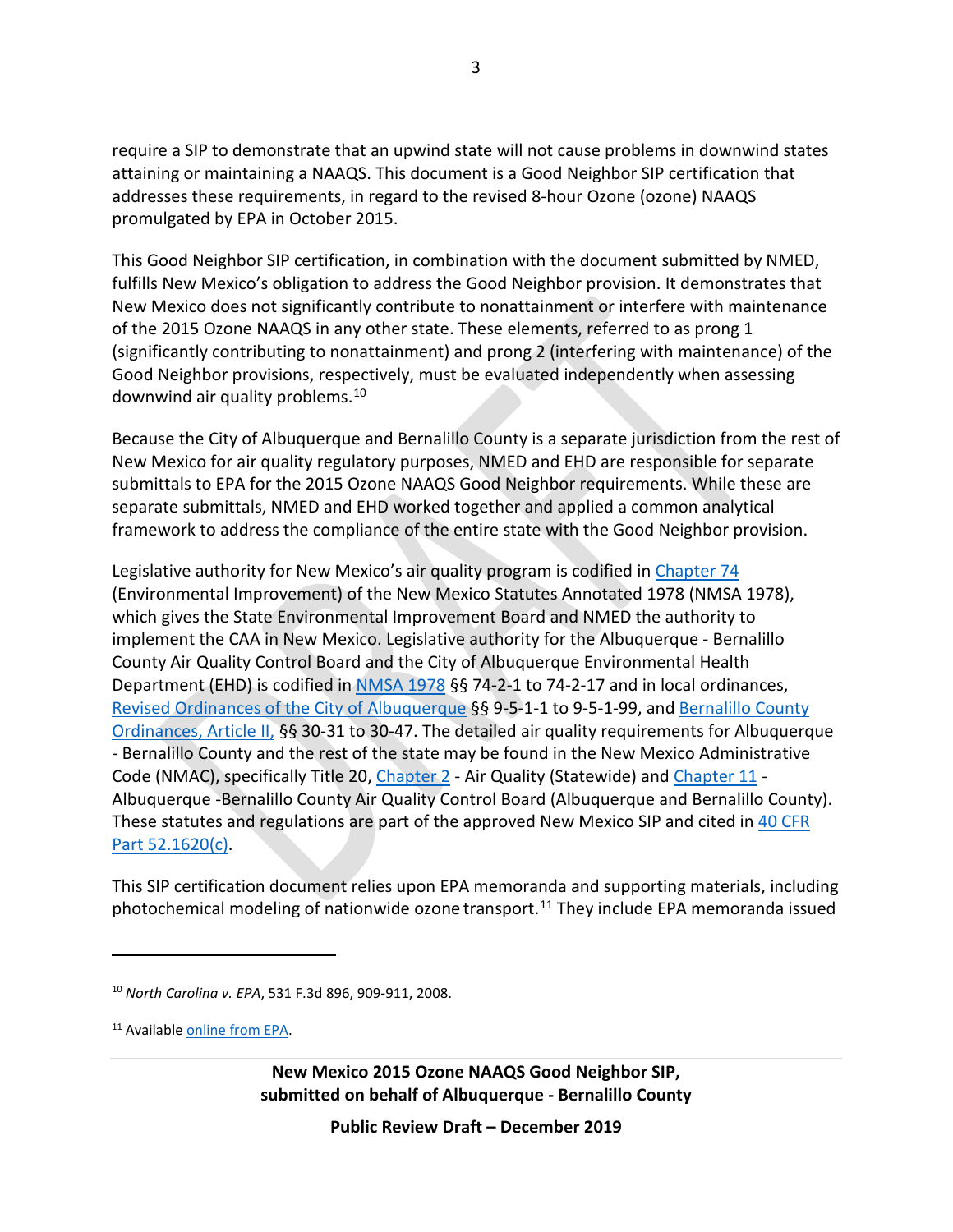require a SIP to demonstrate that an upwind state will not cause problems in downwind states attaining or maintaining a NAAQS. This document is a Good Neighbor SIP certification that addresses these requirements, in regard to the revised 8-hour Ozone (ozone) NAAQS promulgated by EPA in October 2015.

This Good Neighbor SIP certification, in combination with the document submitted by NMED, fulfills New Mexico's obligation to address the Good Neighbor provision. It demonstrates that New Mexico does not significantly contribute to nonattainment or interfere with maintenance of the 2015 Ozone NAAQS in any other state. These elements, referred to as prong 1 (significantly contributing to nonattainment) and prong 2 (interfering with maintenance) of the Good Neighbor provisions, respectively, must be evaluated independently when assessing downwind air quality problems.<sup>[10](#page-2-0)</sup>

Because the City of Albuquerque and Bernalillo County is a separate jurisdiction from the rest of New Mexico for air quality regulatory purposes, NMED and EHD are responsible for separate submittals to EPA for the 2015 Ozone NAAQS Good Neighbor requirements. While these are separate submittals, NMED and EHD worked together and applied a common analytical framework to address the compliance of the entire state with the Good Neighbor provision.

Legislative authority for New Mexico's air quality program is codified in [Chapter 74](https://laws.nmonesource.com/w/nmos/Chapter-74-NMSA-1978#!fragment//BQCwhgziBcwMYgK4DsDWszIQewE4BUBTADwBdoByCgSgBpltTCIBFRQ3AT0otojlzYANkIDCSNNACEyPoTC4EbDtypyFCAMp5SAIW4AlAKIAZIwDUAggDlRR2qTAAjaKWxxq1IA) (Environmental Improvement) of the New Mexico Statutes Annotated 1978 (NMSA 1978), which gives the State Environmental Improvement Board and NMED the authority to implement the CAA in New Mexico. Legislative authority for the Albuquerque - Bernalillo County Air Quality Control Board and the City of Albuquerque Environmental Health Department (EHD) is codified i[n NMSA 1978](https://laws.nmonesource.com/w/nmos/Chapter-74-NMSA-1978#!fragment/zoupio-_Toc24554266/BQCwhgziBcwMYgK4DsDWszIQewE4BUBTADwBdoAvbRABwEtsBaAfX2zgCYAWAVh644A2QQEoANMmylCEAIqJCuAJ7QA5KrERCYXAnmKV6zdt0gAynlIAhFQCUAogBl7ANQCCAOQDC9saTAARtCk7CIiQA) §§ 74-2-1 to 74-2-17 and in local ordinances, [Revised Ordinances of the City of Albuquerque](http://library.amlegal.com/nxt/gateway.dll/New%20Mexico/albuqwin/cityofalbuquerquenewmexicocodeofordinanc?f=templates$fn=default.htm$3.0$vid=amlegal:albuquerque_nm_mc) §§ 9-5-1-1 to 9-5-1-99, and [Bernalillo County](https://library.municode.com/nm/bernalillo_county/codes/code_of_ordinances?nodeId=BECOCO_CH30EN_ARTIIAIPO)  [Ordinances,](https://library.municode.com/nm/bernalillo_county/codes/code_of_ordinances?nodeId=BECOCO_CH30EN_ARTIIAIPO) Article II, §§ 30-31 to 30-47. The detailed air quality requirements for Albuquerque - Bernalillo County and the rest of the state may be found in the New Mexico Administrative Code (NMAC), specifically Title 20[, Chapter 2](http://164.64.110.134/nmac/T20C002) - Air Quality (Statewide) and [Chapter 11](http://164.64.110.134/nmac/T20C011) -Albuquerque -Bernalillo County Air Quality Control Board (Albuquerque and Bernalillo County). These statutes and regulations are part of the approved New Mexico SIP and cited in [40 CFR](https://www.ecfr.gov/cgi-bin/text-idx?SID=efc7707d44f4cef71b24636d4d350b77&mc=true&node=se40.4.52_11620&rgn=div8)  [Part 52.1620\(c\).](https://www.ecfr.gov/cgi-bin/text-idx?SID=efc7707d44f4cef71b24636d4d350b77&mc=true&node=se40.4.52_11620&rgn=div8)

This SIP certification document relies upon EPA memoranda and supporting materials, including photochemical modeling of nationwide ozone transport.<sup>[11](#page-2-1)</sup> They include EPA memoranda issued

 $\overline{a}$ 

**New Mexico 2015 Ozone NAAQS Good Neighbor SIP, submitted on behalf of Albuquerque - Bernalillo County**

<span id="page-2-0"></span><sup>10</sup> *North Carolina v. EPA*, 531 F.3d 896, 909-911, 2008.

<span id="page-2-1"></span><sup>11</sup> Available [online from EPA.](https://www.epa.gov/airmarkets/memo-and-supplemental-information-regarding-interstate-transport-sips-2015-ozone-naaqs)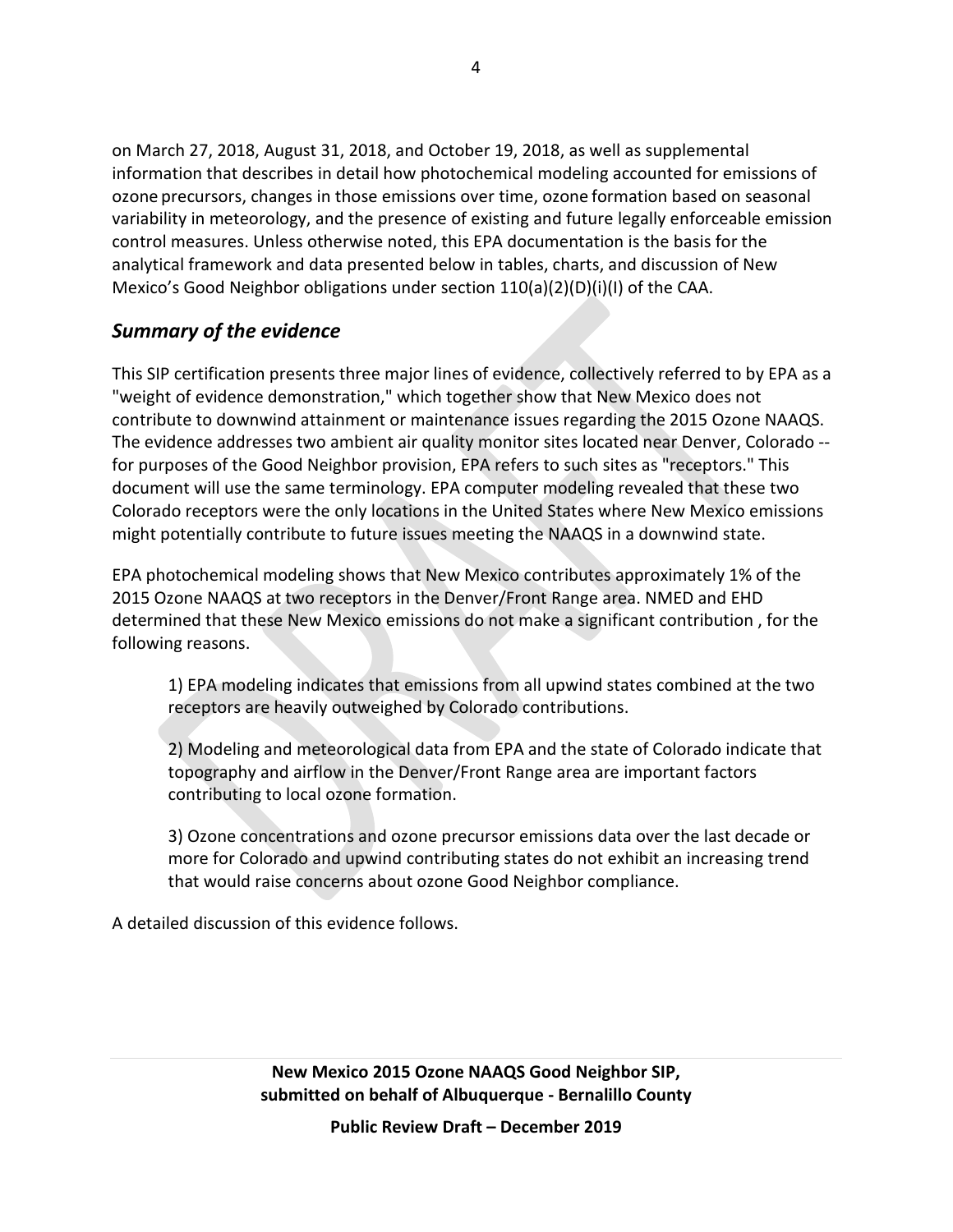on March 27, 2018, August 31, 2018, and October 19, 2018, as well as supplemental information that describes in detail how photochemical modeling accounted for emissions of ozone precursors, changes in those emissions over time, ozone formation based on seasonal variability in meteorology, and the presence of existing and future legally enforceable emission control measures. Unless otherwise noted, this EPA documentation is the basis for the analytical framework and data presented below in tables, charts, and discussion of New Mexico's Good Neighbor obligations under section  $110(a)(2)(D)(i)(I)$  of the CAA.

#### *Summary of the evidence*

This SIP certification presents three major lines of evidence, collectively referred to by EPA as a "weight of evidence demonstration," which together show that New Mexico does not contribute to downwind attainment or maintenance issues regarding the 2015 Ozone NAAQS. The evidence addresses two ambient air quality monitor sites located near Denver, Colorado - for purposes of the Good Neighbor provision, EPA refers to such sites as "receptors." This document will use the same terminology. EPA computer modeling revealed that these two Colorado receptors were the only locations in the United States where New Mexico emissions might potentially contribute to future issues meeting the NAAQS in a downwind state.

EPA photochemical modeling shows that New Mexico contributes approximately 1% of the 2015 Ozone NAAQS at two receptors in the Denver/Front Range area. NMED and EHD determined that these New Mexico emissions do not make a significant contribution , for the following reasons.

1) EPA modeling indicates that emissions from all upwind states combined at the two receptors are heavily outweighed by Colorado contributions.

2) Modeling and meteorological data from EPA and the state of Colorado indicate that topography and airflow in the Denver/Front Range area are important factors contributing to local ozone formation.

3) Ozone concentrations and ozone precursor emissions data over the last decade or more for Colorado and upwind contributing states do not exhibit an increasing trend that would raise concerns about ozone Good Neighbor compliance.

A detailed discussion of this evidence follows.

**New Mexico 2015 Ozone NAAQS Good Neighbor SIP, submitted on behalf of Albuquerque - Bernalillo County**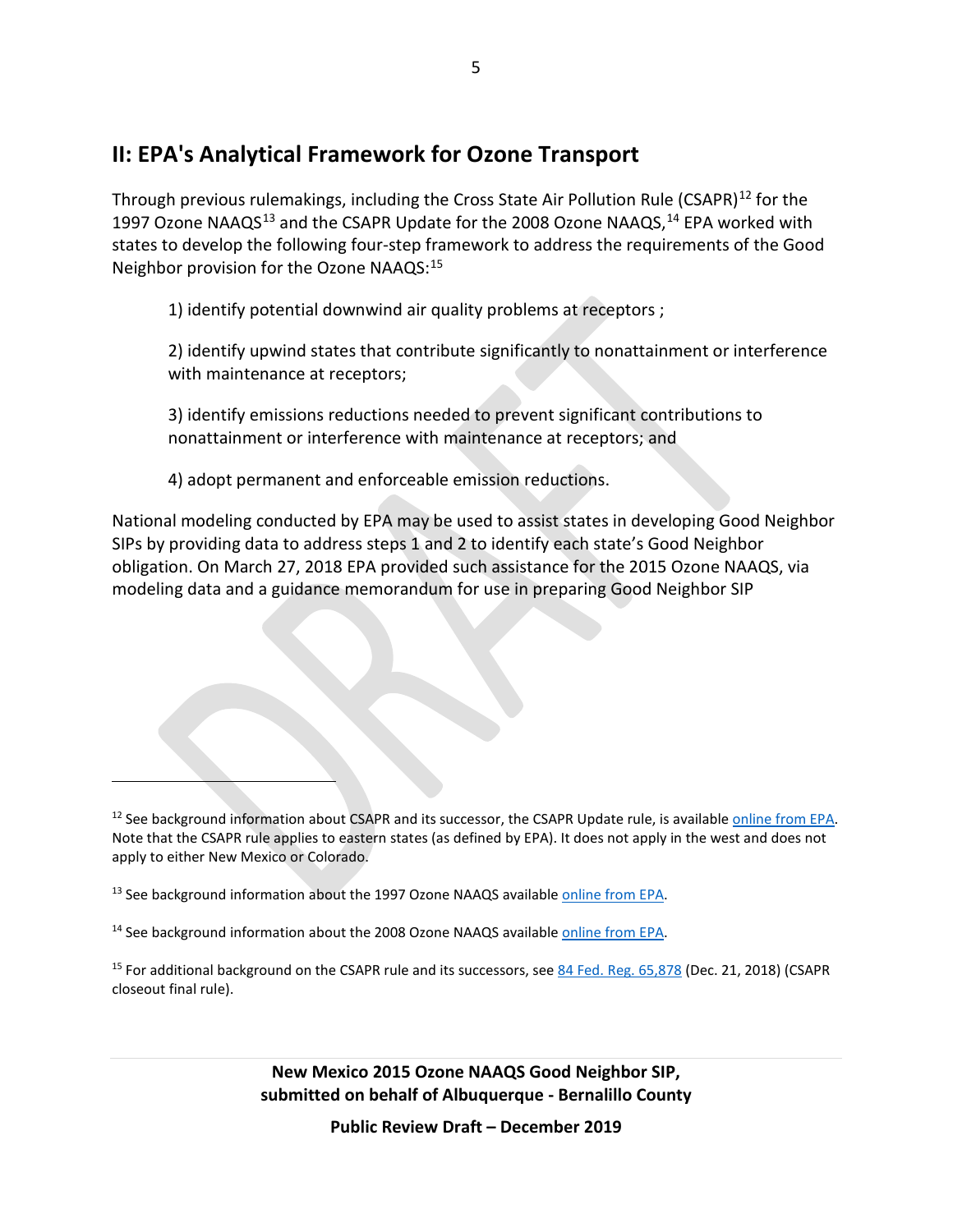### **II: EPA's Analytical Framework for Ozone Transport**

Through previous rulemakings, including the Cross State Air Pollution Rule (CSAPR)<sup>[12](#page-4-0)</sup> for the 1997 Ozone NAAQS<sup>[13](#page-4-1)</sup> and the CSAPR Update for the 2008 Ozone NAAQS,<sup>[14](#page-4-2)</sup> EPA worked with states to develop the following four-step framework to address the requirements of the Good Neighbor provision for the Ozone NAAQS: [15](#page-4-3)

1) identify potential downwind air quality problems at receptors ;

2) identify upwind states that contribute significantly to nonattainment or interference with maintenance at receptors;

3) identify emissions reductions needed to prevent significant contributions to nonattainment or interference with maintenance at receptors; and

4) adopt permanent and enforceable emission reductions.

National modeling conducted by EPA may be used to assist states in developing Good Neighbor SIPs by providing data to address steps 1 and 2 to identify each state's Good Neighbor obligation. On March 27, 2018 EPA provided such assistance for the 2015 Ozone NAAQS, via modeling data and a guidance memorandum for use in preparing Good Neighbor SIP

 $\overline{a}$ 

<span id="page-4-0"></span> $12$  See background information about CSAPR and its successor, the CSAPR Update rule, is available online from EPA. Note that the CSAPR rule applies to eastern states (as defined by EPA). It does not apply in the west and does not apply to either New Mexico or Colorado.

<span id="page-4-1"></span><sup>&</sup>lt;sup>13</sup> See background information about the 1997 Ozone NAAQS available [online from EPA.](https://www.epa.gov/ground-level-ozone-pollution/1997-ozone-national-ambient-air-quality-standards-naaqs-nonattainment)

<span id="page-4-2"></span><sup>&</sup>lt;sup>14</sup> See background information about the 2008 Ozone NAAQS available [online from EPA.](https://www.epa.gov/ground-level-ozone-pollution/2008-national-ambient-air-quality-standards-naaqs-ozone)

<span id="page-4-3"></span><sup>15</sup> For additional background on the CSAPR rule and its successors, se[e 84 Fed. Reg. 65,878](https://www.federalregister.gov/documents/2018/12/21/2018-27160/determination-regarding-good-neighbor-obligations-for-the-2008-ozone-national-ambient-air-quality) (Dec. 21, 2018) (CSAPR closeout final rule).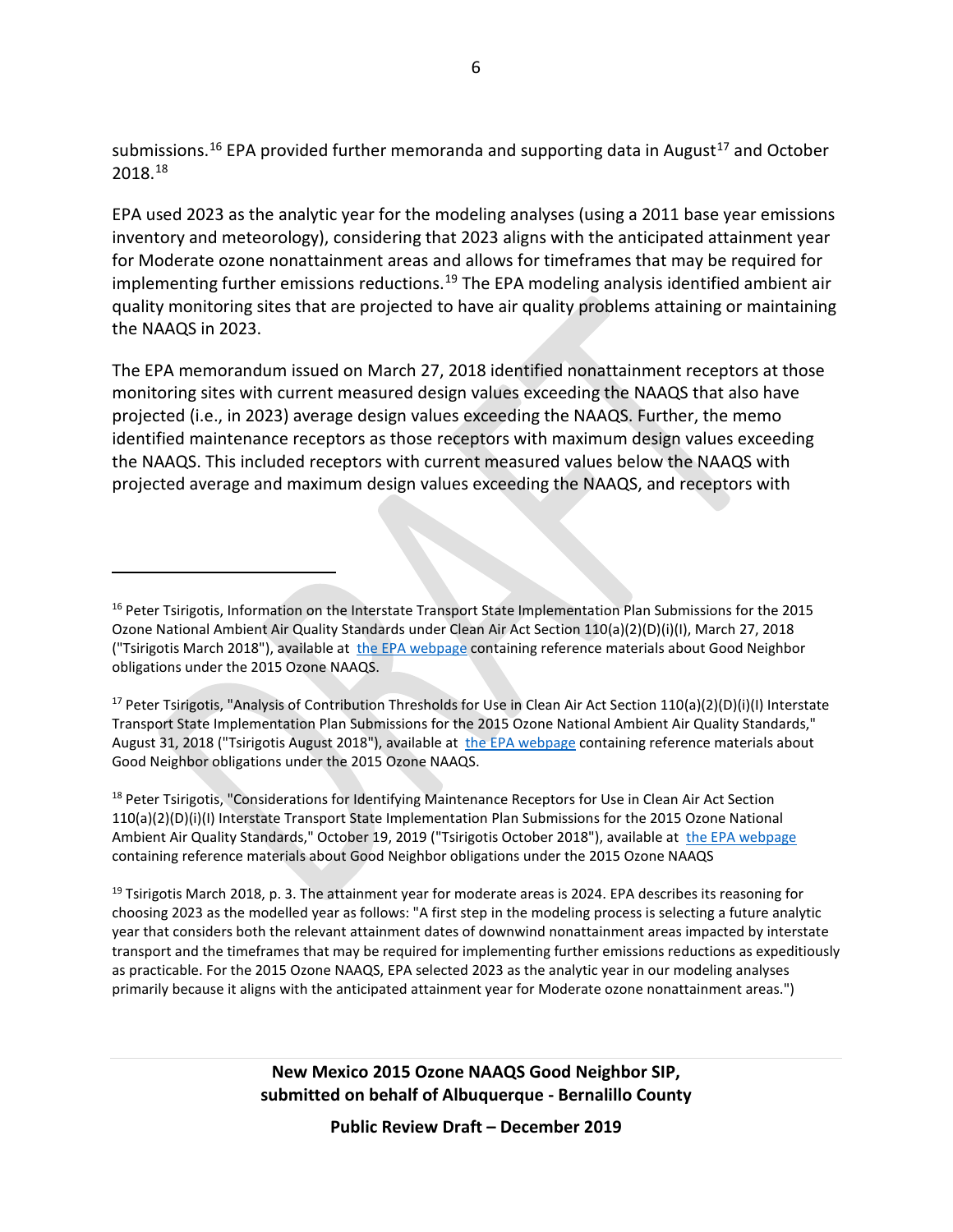submissions.<sup>[16](#page-5-0)</sup> EPA provided further memoranda and supporting data in August<sup>[17](#page-5-1)</sup> and October 2018.[18](#page-5-2)

EPA used 2023 as the analytic year for the modeling analyses (using a 2011 base year emissions inventory and meteorology), considering that 2023 aligns with the anticipated attainment year for Moderate ozone nonattainment areas and allows for timeframes that may be required for implementing further emissions reductions.<sup>[19](#page-5-3)</sup> The EPA modeling analysis identified ambient air quality monitoring sites that are projected to have air quality problems attaining or maintaining the NAAQS in 2023.

The EPA memorandum issued on March 27, 2018 identified nonattainment receptors at those monitoring sites with current measured design values exceeding the NAAQS that also have projected (i.e., in 2023) average design values exceeding the NAAQS. Further, the memo identified maintenance receptors as those receptors with maximum design values exceeding the NAAQS. This included receptors with current measured values below the NAAQS with projected average and maximum design values exceeding the NAAQS, and receptors with

 $\overline{a}$ 

<span id="page-5-2"></span><sup>18</sup> Peter Tsirigotis, "Considerations for Identifying Maintenance Receptors for Use in Clean Air Act Section 110(a)(2)(D)(i)(I) Interstate Transport State Implementation Plan Submissions for the 2015 Ozone National Ambient Air Quality Standards," October 19, 2019 ("Tsirigotis October 2018"), available at [the EPA webpage](https://www.epa.gov/airmarkets/memo-and-supplemental-information-regarding-interstate-transport-sips-2015-ozone-naaqs) containing reference materials about Good Neighbor obligations under the 2015 Ozone NAAQS

<span id="page-5-3"></span><sup>19</sup> Tsirigotis March 2018, p. 3. The attainment year for moderate areas is 2024. EPA describes its reasoning for choosing 2023 as the modelled year as follows: "A first step in the modeling process is selecting a future analytic year that considers both the relevant attainment dates of downwind nonattainment areas impacted by interstate transport and the timeframes that may be required for implementing further emissions reductions as expeditiously as practicable. For the 2015 Ozone NAAQS, EPA selected 2023 as the analytic year in our modeling analyses primarily because it aligns with the anticipated attainment year for Moderate ozone nonattainment areas.")

<span id="page-5-0"></span><sup>&</sup>lt;sup>16</sup> Peter Tsirigotis, Information on the Interstate Transport State Implementation Plan Submissions for the 2015 Ozone National Ambient Air Quality Standards under Clean Air Act Section 110(a)(2)(D)(i)(I), March 27, 2018 ("Tsirigotis March 2018"), available at [the EPA webpage](https://www.epa.gov/airmarkets/memo-and-supplemental-information-regarding-interstate-transport-sips-2015-ozone-naaqs) containing reference materials about Good Neighbor obligations under the 2015 Ozone NAAQS.

<span id="page-5-1"></span><sup>&</sup>lt;sup>17</sup> Peter Tsirigotis, "Analysis of Contribution Thresholds for Use in Clean Air Act Section  $110(a)(2)(D)(i)(I)$  Interstate Transport State Implementation Plan Submissions for the 2015 Ozone National Ambient Air Quality Standards," August 31, 2018 ("Tsirigotis August 2018"), available at [the EPA webpage](https://www.epa.gov/airmarkets/memo-and-supplemental-information-regarding-interstate-transport-sips-2015-ozone-naaqs) containing reference materials about Good Neighbor obligations under the 2015 Ozone NAAQS.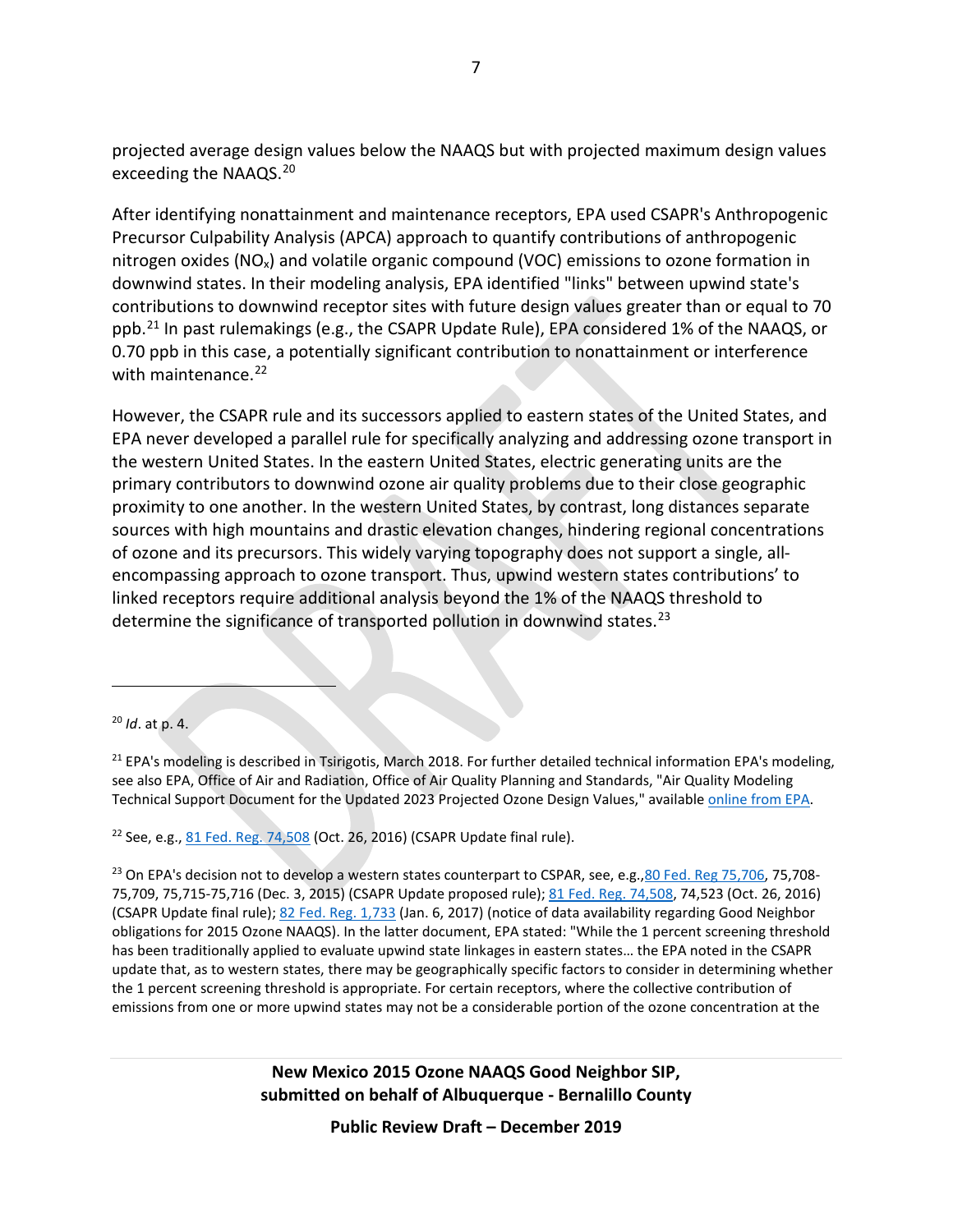projected average design values below the NAAQS but with projected maximum design values exceeding the NAAQS.<sup>[20](#page-6-0)</sup>

After identifying nonattainment and maintenance receptors, EPA used CSAPR's Anthropogenic Precursor Culpability Analysis (APCA) approach to quantify contributions of anthropogenic nitrogen oxides (NOx) and volatile organic compound (VOC) emissions to ozone formation in downwind states. In their modeling analysis, EPA identified "links" between upwind state's contributions to downwind receptor sites with future design values greater than or equal to 70 ppb.<sup>[21](#page-6-1)</sup> In past rulemakings (e.g., the CSAPR Update Rule), EPA considered 1% of the NAAQS, or 0.70 ppb in this case, a potentially significant contribution to nonattainment or interference with maintenance.<sup>[22](#page-6-2)</sup>

However, the CSAPR rule and its successors applied to eastern states of the United States, and EPA never developed a parallel rule for specifically analyzing and addressing ozone transport in the western United States. In the eastern United States, electric generating units are the primary contributors to downwind ozone air quality problems due to their close geographic proximity to one another. In the western United States, by contrast, long distances separate sources with high mountains and drastic elevation changes, hindering regional concentrations of ozone and its precursors. This widely varying topography does not support a single, allencompassing approach to ozone transport. Thus, upwind western states contributions' to linked receptors require additional analysis beyond the 1% of the NAAQS threshold to determine the significance of transported pollution in downwind states.<sup>[23](#page-6-3)</sup>

<span id="page-6-4"></span> $\overline{a}$ 

<span id="page-6-2"></span> $22$  See, e.g.[, 81 Fed. Reg. 74,508](https://www.federalregister.gov/documents/2016/10/26/2016-22240/cross-state-air-pollution-rule-update-for-the-2008-ozone-naaqs) (Oct. 26, 2016) (CSAPR Update final rule).

<span id="page-6-3"></span><sup>23</sup> On EPA's decision not to develop a western states counterpart to CSPAR, see, e.g., 80 Fed. Reg 75, 706, 75, 708-75,709, 75,715-75,716 (Dec. 3, 2015) (CSAPR Update proposed rule); [81 Fed. Reg. 74,508,](https://www.federalregister.gov/documents/2016/10/26/2016-22240/cross-state-air-pollution-rule-update-for-the-2008-ozone-naaqs) 74,523 (Oct. 26, 2016) (CSAPR Update final rule); [82 Fed. Reg. 1,733](https://www.federalregister.gov/documents/2017/01/06/2017-00058/notice-of-availability-of-the-environmental-protection-agencys-preliminary-interstate-ozone) (Jan. 6, 2017) (notice of data availability regarding Good Neighbor obligations for 2015 Ozone NAAQS). In the latter document, EPA stated: "While the 1 percent screening threshold has been traditionally applied to evaluate upwind state linkages in eastern states… the EPA noted in the CSAPR update that, as to western states, there may be geographically specific factors to consider in determining whether the 1 percent screening threshold is appropriate. For certain receptors, where the collective contribution of emissions from one or more upwind states may not be a considerable portion of the ozone concentration at the

> **New Mexico 2015 Ozone NAAQS Good Neighbor SIP, submitted on behalf of Albuquerque - Bernalillo County**

<span id="page-6-0"></span><sup>20</sup> *Id*. at p. 4.

<span id="page-6-1"></span><sup>&</sup>lt;sup>21</sup> EPA's modeling is described in Tsirigotis, March 2018. For further detailed technical information EPA's modeling, see also EPA, Office of Air and Radiation, Office of Air Quality Planning and Standards, "Air Quality Modeling Technical Support Document for the Updated 2023 Projected Ozone Design Values," available [online from EPA.](https://www.epa.gov/airmarkets/air-quality-modeling-technical-support-document-updated-2023-projected-ozone-design)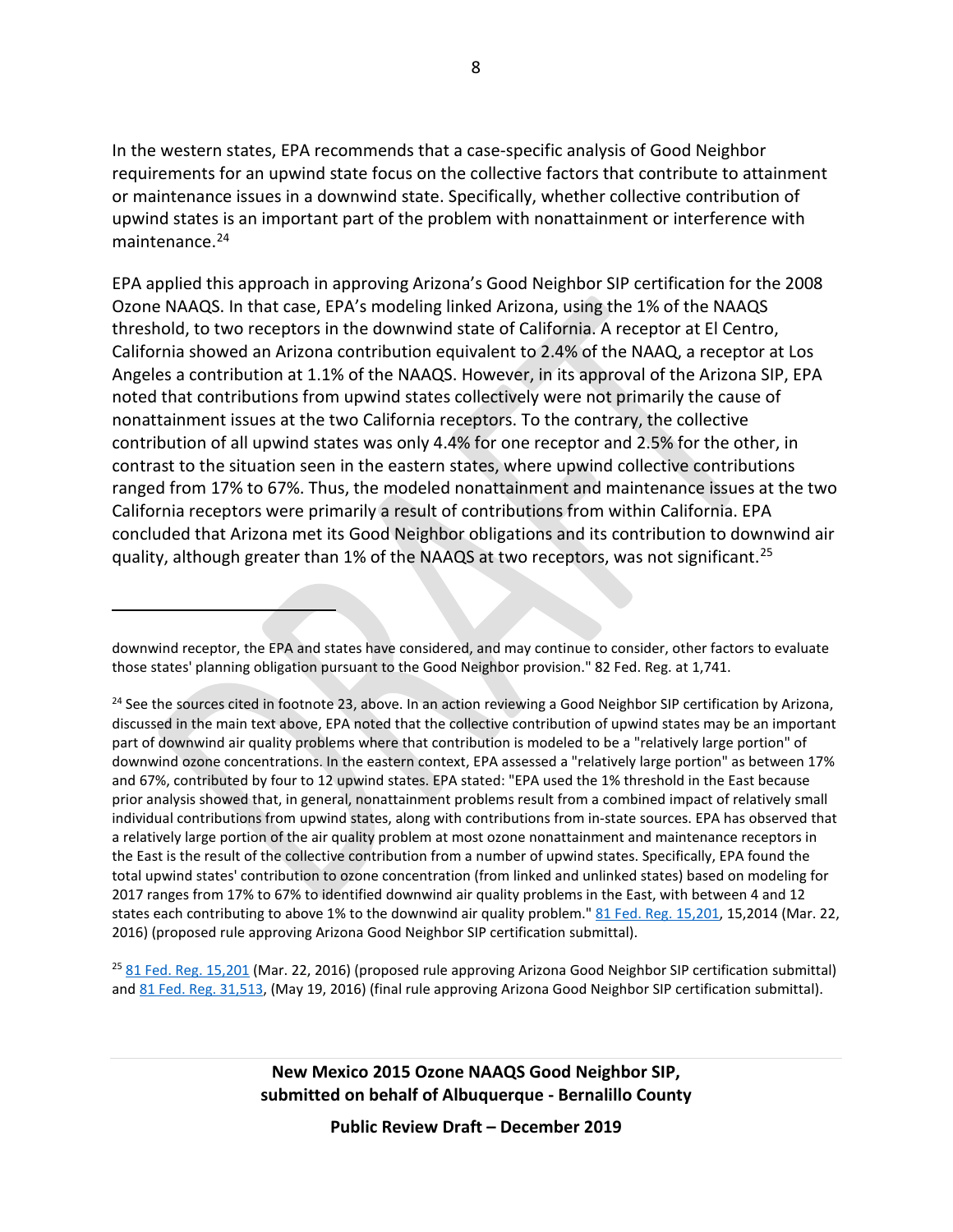In the western states, EPA recommends that a case-specific analysis of Good Neighbor requirements for an upwind state focus on the collective factors that contribute to attainment or maintenance issues in a downwind state. Specifically, whether collective contribution of upwind states is an important part of the problem with nonattainment or interference with maintenance.<sup>[24](#page-7-0)</sup>

EPA applied this approach in approving Arizona's Good Neighbor SIP certification for the 2008 Ozone NAAQS. In that case, EPA's modeling linked Arizona, using the 1% of the NAAQS threshold, to two receptors in the downwind state of California. A receptor at El Centro, California showed an Arizona contribution equivalent to 2.4% of the NAAQ, a receptor at Los Angeles a contribution at 1.1% of the NAAQS. However, in its approval of the Arizona SIP, EPA noted that contributions from upwind states collectively were not primarily the cause of nonattainment issues at the two California receptors. To the contrary, the collective contribution of all upwind states was only 4.4% for one receptor and 2.5% for the other, in contrast to the situation seen in the eastern states, where upwind collective contributions ranged from 17% to 67%. Thus, the modeled nonattainment and maintenance issues at the two California receptors were primarily a result of contributions from within California. EPA concluded that Arizona met its Good Neighbor obligations and its contribution to downwind air quality, although greater than 1% of the NAAQS at two receptors, was not significant.<sup>[25](#page-7-1)</sup>

 $\overline{a}$ 

<span id="page-7-1"></span><sup>25</sup> [81 Fed. Reg.](https://www.federalregister.gov/documents/2016/03/22/2016-06438/partial-approval-and-partial-disapproval-of-air-quality-state-implementation-plans-arizona) 15,201 (Mar. 22, 2016) (proposed rule approving Arizona Good Neighbor SIP certification submittal) an[d 81 Fed. Reg.](https://www.federalregister.gov/documents/2016/05/19/2016-11744/partial-approval-and-partial-disapproval-of-air-quality-state-implementation-plans-arizona) 31,513, (May 19, 2016) (final rule approving Arizona Good Neighbor SIP certification submittal).

> **New Mexico 2015 Ozone NAAQS Good Neighbor SIP, submitted on behalf of Albuquerque - Bernalillo County**

downwind receptor, the EPA and states have considered, and may continue to consider, other factors to evaluate those states' planning obligation pursuant to the Good Neighbor provision." 82 Fed. Reg. at 1,741.

<span id="page-7-0"></span> $24$  See the sources cited in footnote [23,](#page-6-4) above. In an action reviewing a Good Neighbor SIP certification by Arizona, discussed in the main text above, EPA noted that the collective contribution of upwind states may be an important part of downwind air quality problems where that contribution is modeled to be a "relatively large portion" of downwind ozone concentrations. In the eastern context, EPA assessed a "relatively large portion" as between 17% and 67%, contributed by four to 12 upwind states. EPA stated: "EPA used the 1% threshold in the East because prior analysis showed that, in general, nonattainment problems result from a combined impact of relatively small individual contributions from upwind states, along with contributions from in-state sources. EPA has observed that a relatively large portion of the air quality problem at most ozone nonattainment and maintenance receptors in the East is the result of the collective contribution from a number of upwind states. Specifically, EPA found the total upwind states' contribution to ozone concentration (from linked and unlinked states) based on modeling for 2017 ranges from 17% to 67% to identified downwind air quality problems in the East, with between 4 and 12 states each contributing to above 1% to the downwind air quality problem." [81 Fed. Reg. 15,201,](https://www.federalregister.gov/documents/2016/03/22/2016-06438/partial-approval-and-partial-disapproval-of-air-quality-state-implementation-plans-arizona) 15,2014 (Mar. 22, 2016) (proposed rule approving Arizona Good Neighbor SIP certification submittal).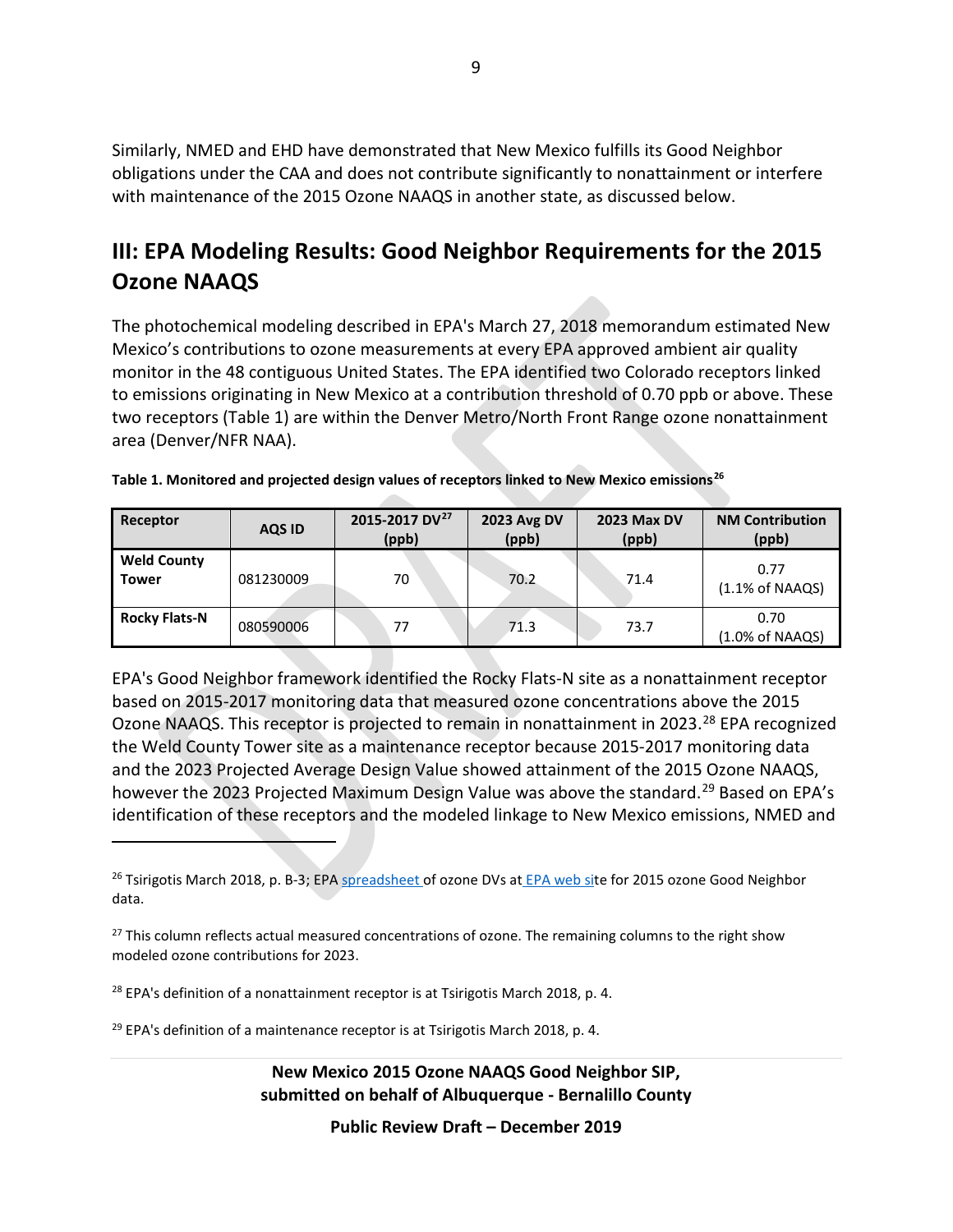Similarly, NMED and EHD have demonstrated that New Mexico fulfills its Good Neighbor obligations under the CAA and does not contribute significantly to nonattainment or interfere with maintenance of the 2015 Ozone NAAQS in another state, as discussed below.

# **III: EPA Modeling Results: Good Neighbor Requirements for the 2015 Ozone NAAQS**

The photochemical modeling described in EPA's March 27, 2018 memorandum estimated New Mexico's contributions to ozone measurements at every EPA approved ambient air quality monitor in the 48 contiguous United States. The EPA identified two Colorado receptors linked to emissions originating in New Mexico at a contribution threshold of 0.70 ppb or above. These two receptors (Table 1) are within the Denver Metro/North Front Range ozone nonattainment area (Denver/NFR NAA).

| Receptor                           | <b>AQS ID</b> | 2015-2017 DV <sup>27</sup><br>(ppb) | <b>2023 Avg DV</b><br>(ppb) | <b>2023 Max DV</b><br>(ppb) | <b>NM Contribution</b><br>(ppb)    |  |
|------------------------------------|---------------|-------------------------------------|-----------------------------|-----------------------------|------------------------------------|--|
| <b>Weld County</b><br><b>Tower</b> | 081230009     | 70                                  | 70.2                        | 71.4                        | 0.77<br>$(1.1\% \text{ of NAAQS})$ |  |
| <b>Rocky Flats-N</b>               | 080590006     | 77                                  | 71.3                        | 73.7                        | 0.70<br>(1.0% of NAAQS)            |  |

| Table 1. Monitored and projected design values of receptors linked to New Mexico emissions <sup>26</sup> |  |
|----------------------------------------------------------------------------------------------------------|--|
|----------------------------------------------------------------------------------------------------------|--|

EPA's Good Neighbor framework identified the Rocky Flats-N site as a nonattainment receptor based on 2015-2017 monitoring data that measured ozone concentrations above the 2015 Ozone NAAQS. This receptor is projected to remain in nonattainment in 2023.<sup>[28](#page-8-2)</sup> EPA recognized the Weld County Tower site as a maintenance receptor because 2015-2017 monitoring data and the 2023 Projected Average Design Value showed attainment of the 2015 Ozone NAAQS, however the 2023 Projected Maximum Design Value was above the standard.<sup>[29](#page-8-3)</sup> Based on EPA's identification of these receptors and the modeled linkage to New Mexico emissions, NMED and

<span id="page-8-1"></span><sup>27</sup> This column reflects actual measured concentrations of ozone. The remaining columns to the right show modeled ozone contributions for 2023.

<span id="page-8-2"></span> $28$  EPA's definition of a nonattainment receptor is at Tsirigotis March 2018, p. 4.

 $\overline{a}$ 

<span id="page-8-3"></span> $29$  EPA's definition of a maintenance receptor is at Tsirigotis March 2018, p. 4.

**New Mexico 2015 Ozone NAAQS Good Neighbor SIP, submitted on behalf of Albuquerque - Bernalillo County**

<span id="page-8-0"></span><sup>&</sup>lt;sup>26</sup> Tsirigotis March 2018, p. B-3; EP[A spreadsheet o](https://www.epa.gov/sites/production/files/2018-10/ozone_design_value_data_2.xlsx)f ozone DVs at [EPA web sit](https://www.epa.gov/airmarkets/memo-and-supplemental-information-regarding-interstate-transport-sips-2015-ozone-naaqs)e for 2015 ozone Good Neighbor data.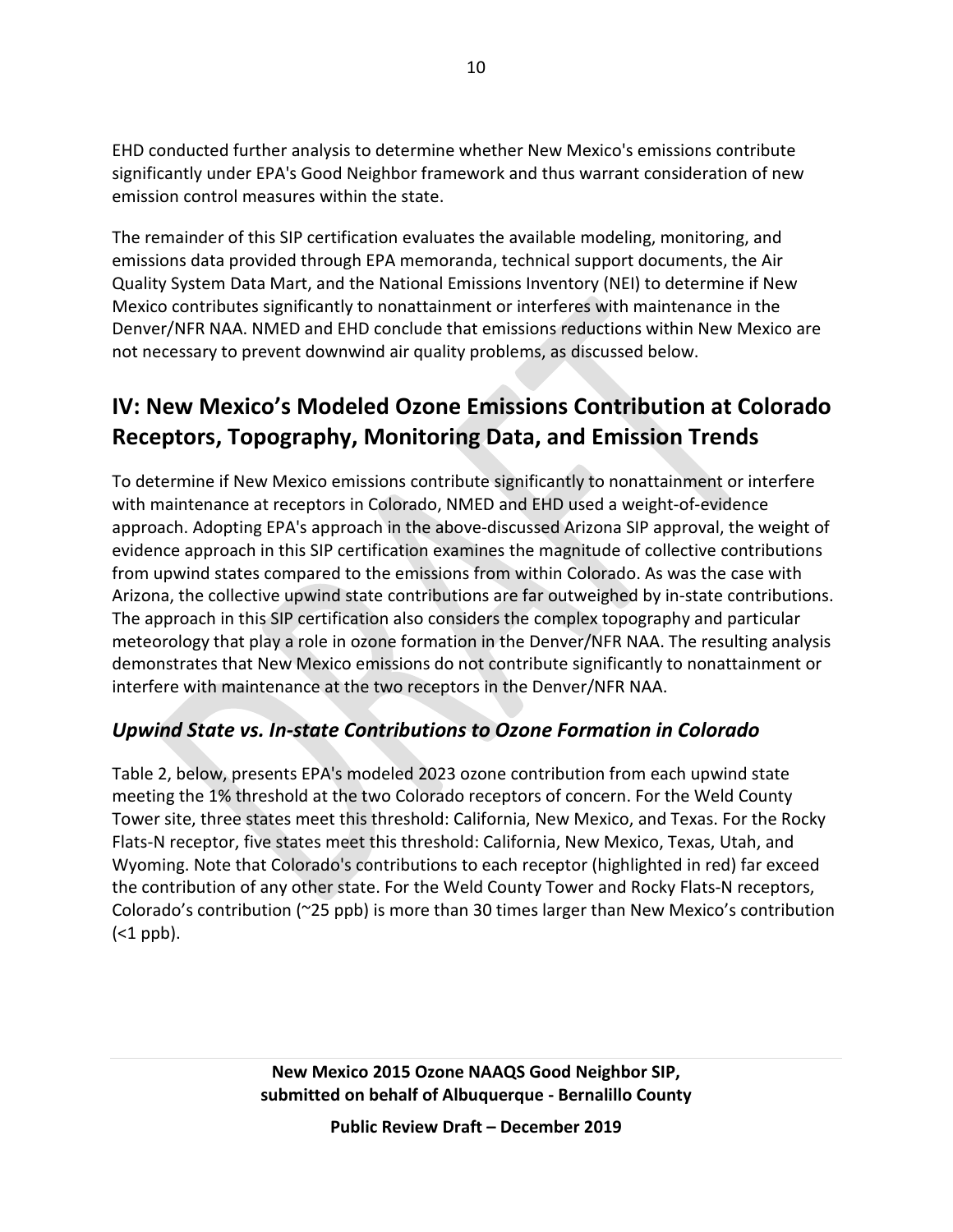EHD conducted further analysis to determine whether New Mexico's emissions contribute significantly under EPA's Good Neighbor framework and thus warrant consideration of new emission control measures within the state.

The remainder of this SIP certification evaluates the available modeling, monitoring, and emissions data provided through EPA memoranda, technical support documents, the Air Quality System Data Mart, and the National Emissions Inventory (NEI) to determine if New Mexico contributes significantly to nonattainment or interferes with maintenance in the Denver/NFR NAA. NMED and EHD conclude that emissions reductions within New Mexico are not necessary to prevent downwind air quality problems, as discussed below.

# **IV: New Mexico's Modeled Ozone Emissions Contribution at Colorado Receptors, Topography, Monitoring Data, and Emission Trends**

To determine if New Mexico emissions contribute significantly to nonattainment or interfere with maintenance at receptors in Colorado, NMED and EHD used a weight-of-evidence approach. Adopting EPA's approach in the above-discussed Arizona SIP approval, the weight of evidence approach in this SIP certification examines the magnitude of collective contributions from upwind states compared to the emissions from within Colorado. As was the case with Arizona, the collective upwind state contributions are far outweighed by in-state contributions. The approach in this SIP certification also considers the complex topography and particular meteorology that play a role in ozone formation in the Denver/NFR NAA. The resulting analysis demonstrates that New Mexico emissions do not contribute significantly to nonattainment or interfere with maintenance at the two receptors in the Denver/NFR NAA.

### *Upwind State vs. In-state Contributions to Ozone Formation in Colorado*

Table 2, below, presents EPA's modeled 2023 ozone contribution from each upwind state meeting the 1% threshold at the two Colorado receptors of concern. For the Weld County Tower site, three states meet this threshold: California, New Mexico, and Texas. For the Rocky Flats-N receptor, five states meet this threshold: California, New Mexico, Texas, Utah, and Wyoming. Note that Colorado's contributions to each receptor (highlighted in red) far exceed the contribution of any other state. For the Weld County Tower and Rocky Flats-N receptors, Colorado's contribution (~25 ppb) is more than 30 times larger than New Mexico's contribution  $(<sub>1</sub>$  ppb).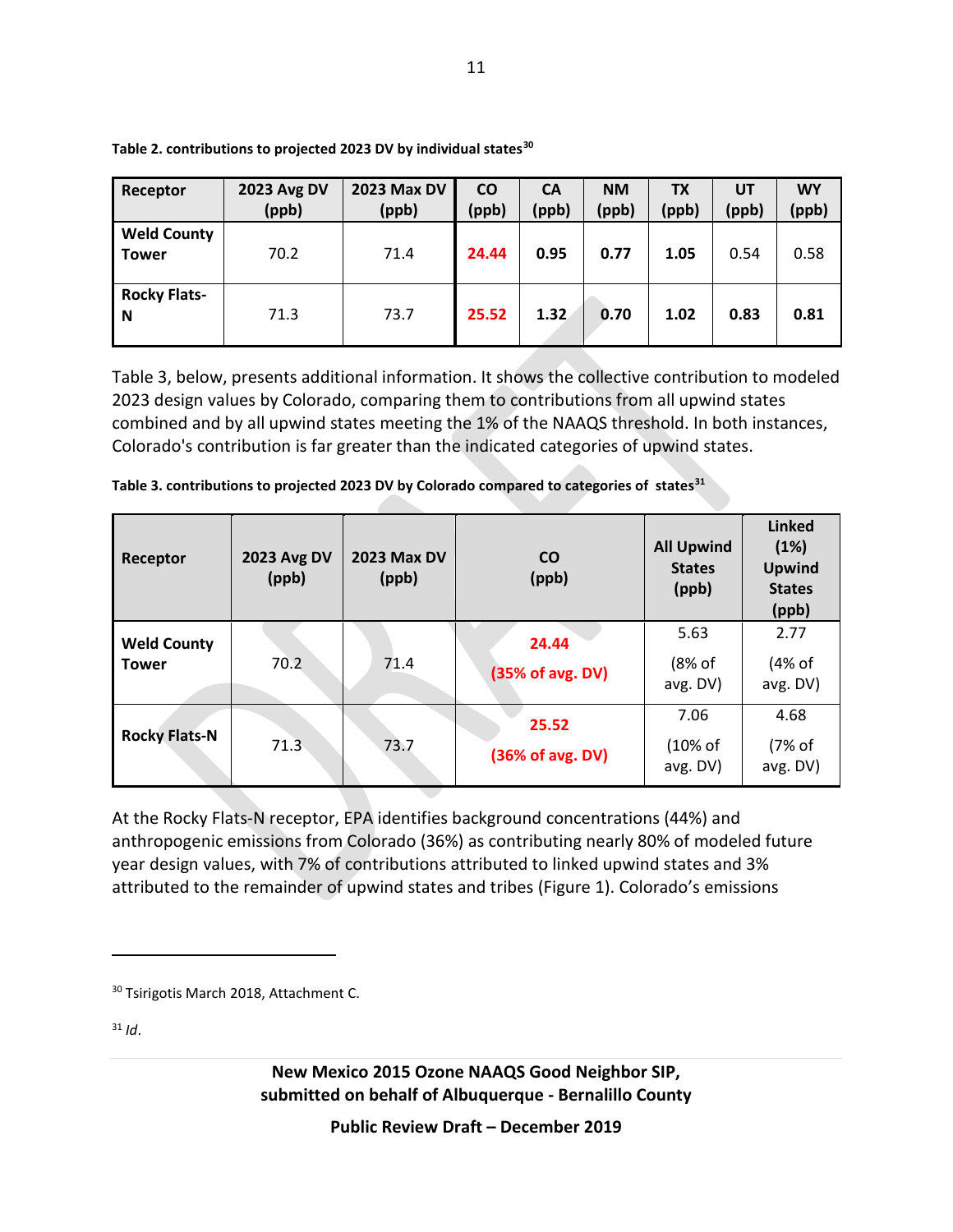| Receptor                           | <b>2023 Avg DV</b><br>(ppb) | <b>2023 Max DV</b><br>(ppb) | <b>CO</b><br>(ppb) | <b>CA</b><br>(ppb) | <b>NM</b><br>(ppb) | <b>TX</b><br>(ppb) | UT<br>(ppb) | <b>WY</b><br>(ppb) |
|------------------------------------|-----------------------------|-----------------------------|--------------------|--------------------|--------------------|--------------------|-------------|--------------------|
| <b>Weld County</b><br><b>Tower</b> | 70.2                        | 71.4                        | 24.44              | 0.95               | 0.77               | 1.05               | 0.54        | 0.58               |
| <b>Rocky Flats-</b><br>N           | 71.3                        | 73.7                        | 25.52              | 1.32               | 0.70               | 1.02               | 0.83        | 0.81               |

**Table 2. contributions to projected 2023 DV by individual states[30](#page-10-0)**

Table 3, below, presents additional information. It shows the collective contribution to modeled 2023 design values by Colorado, comparing them to contributions from all upwind states combined and by all upwind states meeting the 1% of the NAAQS threshold. In both instances, Colorado's contribution is far greater than the indicated categories of upwind states.

| Receptor                           | <b>2023 Avg DV</b><br>(ppb) | <b>2023 Max DV</b><br>(ppb) | <b>CO</b><br>(ppb)        | <b>All Upwind</b><br><b>States</b><br>(ppb) | <b>Linked</b><br>(1%)<br><b>Upwind</b><br><b>States</b><br>(ppb) |
|------------------------------------|-----------------------------|-----------------------------|---------------------------|---------------------------------------------|------------------------------------------------------------------|
| <b>Weld County</b><br><b>Tower</b> | 70.2                        | 71.4                        | 24.44<br>(35% of avg. DV) | 5.63<br>(8% of<br>avg. DV)                  | 2.77<br>(4% of<br>avg. DV)                                       |
| <b>Rocky Flats-N</b>               | 71.3                        | 73.7                        | 25.52<br>(36% of avg. DV) | 7.06<br>(10% of<br>avg. DV)                 | 4.68<br>(7% of<br>avg. DV)                                       |

| Table 3. contributions to projected 2023 DV by Colorado compared to categories of states <sup>31</sup> |  |  |  |  |
|--------------------------------------------------------------------------------------------------------|--|--|--|--|
|                                                                                                        |  |  |  |  |

At the Rocky Flats-N receptor, EPA identifies background concentrations (44%) and anthropogenic emissions from Colorado (36%) as contributing nearly 80% of modeled future year design values, with 7% of contributions attributed to linked upwind states and 3% attributed to the remainder of upwind states and tribes (Figure 1). Colorado's emissions

<span id="page-10-1"></span> $31$  *Id.* 

<span id="page-10-0"></span><sup>&</sup>lt;sup>30</sup> Tsirigotis March 2018, Attachment C.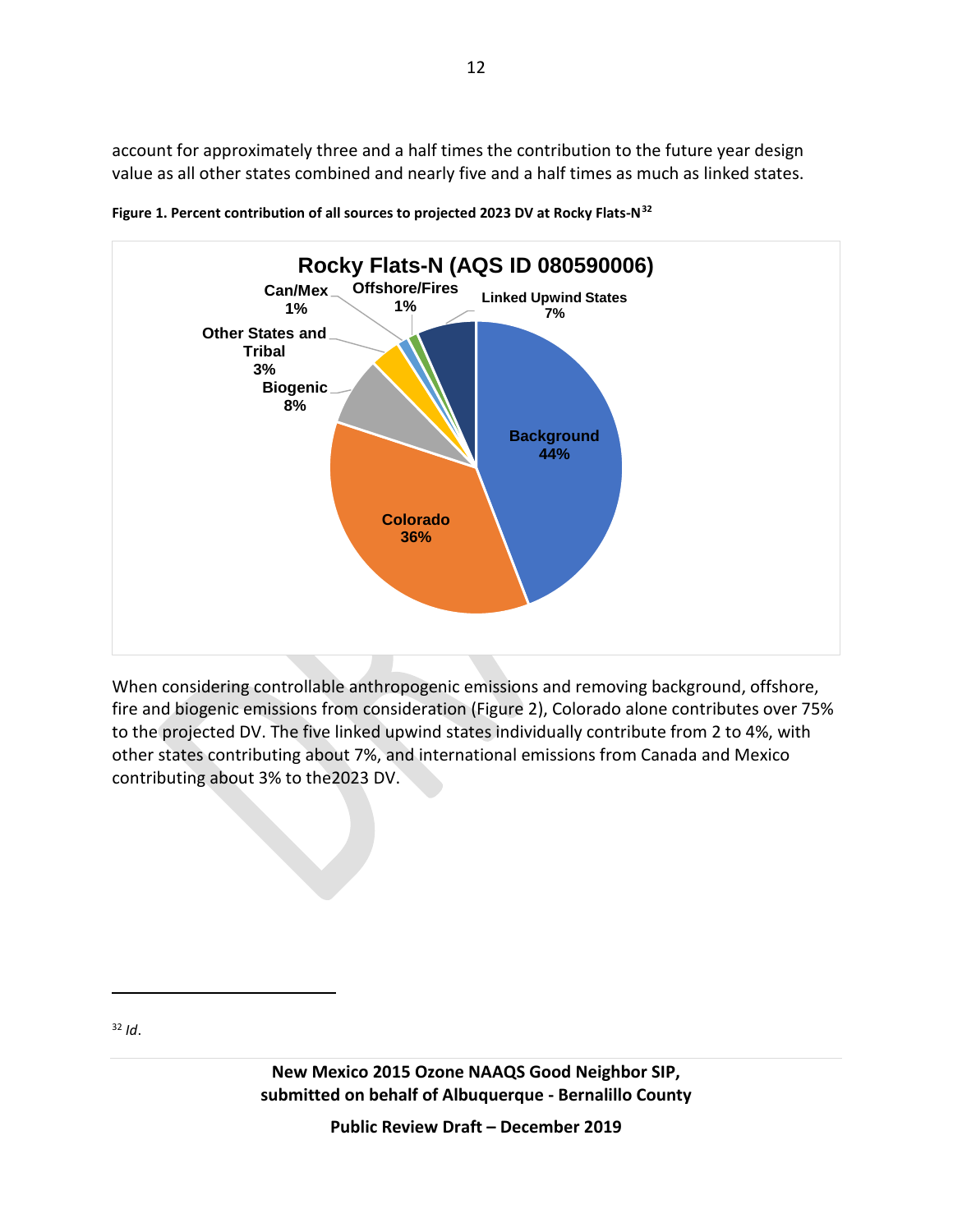account for approximately three and a half times the contribution to the future year design value as all other states combined and nearly five and a half times as much as linked states.





When considering controllable anthropogenic emissions and removing background, offshore, fire and biogenic emissions from consideration (Figure 2), Colorado alone contributes over 75% to the projected DV. The five linked upwind states individually contribute from 2 to 4%, with other states contributing about 7%, and international emissions from Canada and Mexico contributing about 3% to the2023 DV.

<span id="page-11-0"></span><sup>32</sup> *Id*.

 $\overline{a}$ 

**New Mexico 2015 Ozone NAAQS Good Neighbor SIP, submitted on behalf of Albuquerque - Bernalillo County**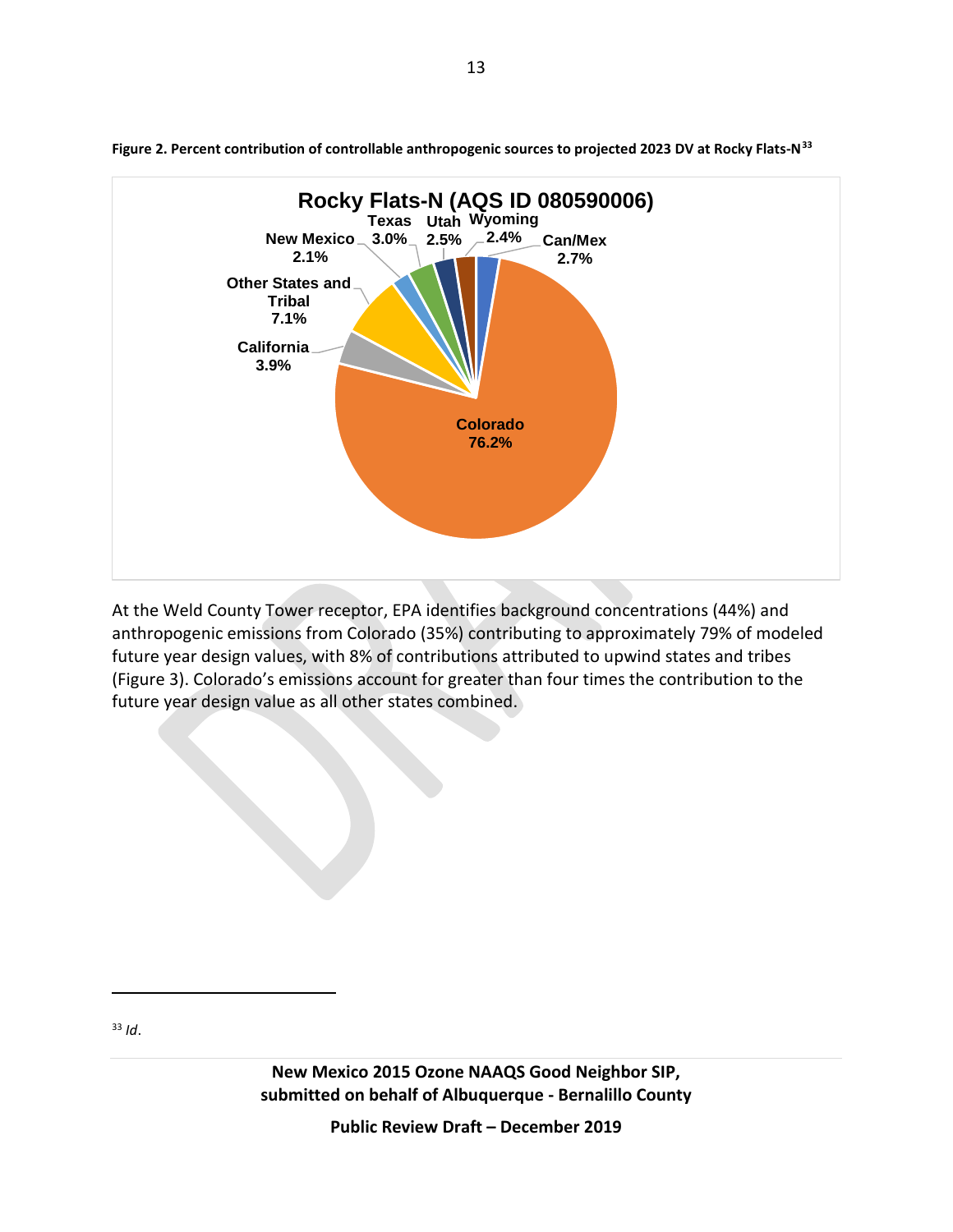

**Figure 2. Percent contribution of controllable anthropogenic sources to projected 2023 DV at Rocky Flats-N[33](#page-12-0)**

At the Weld County Tower receptor, EPA identifies background concentrations (44%) and anthropogenic emissions from Colorado (35%) contributing to approximately 79% of modeled future year design values, with 8% of contributions attributed to upwind states and tribes (Figure 3). Colorado's emissions account for greater than four times the contribution to the future year design value as all other states combined.

<span id="page-12-0"></span><sup>33</sup> *Id*.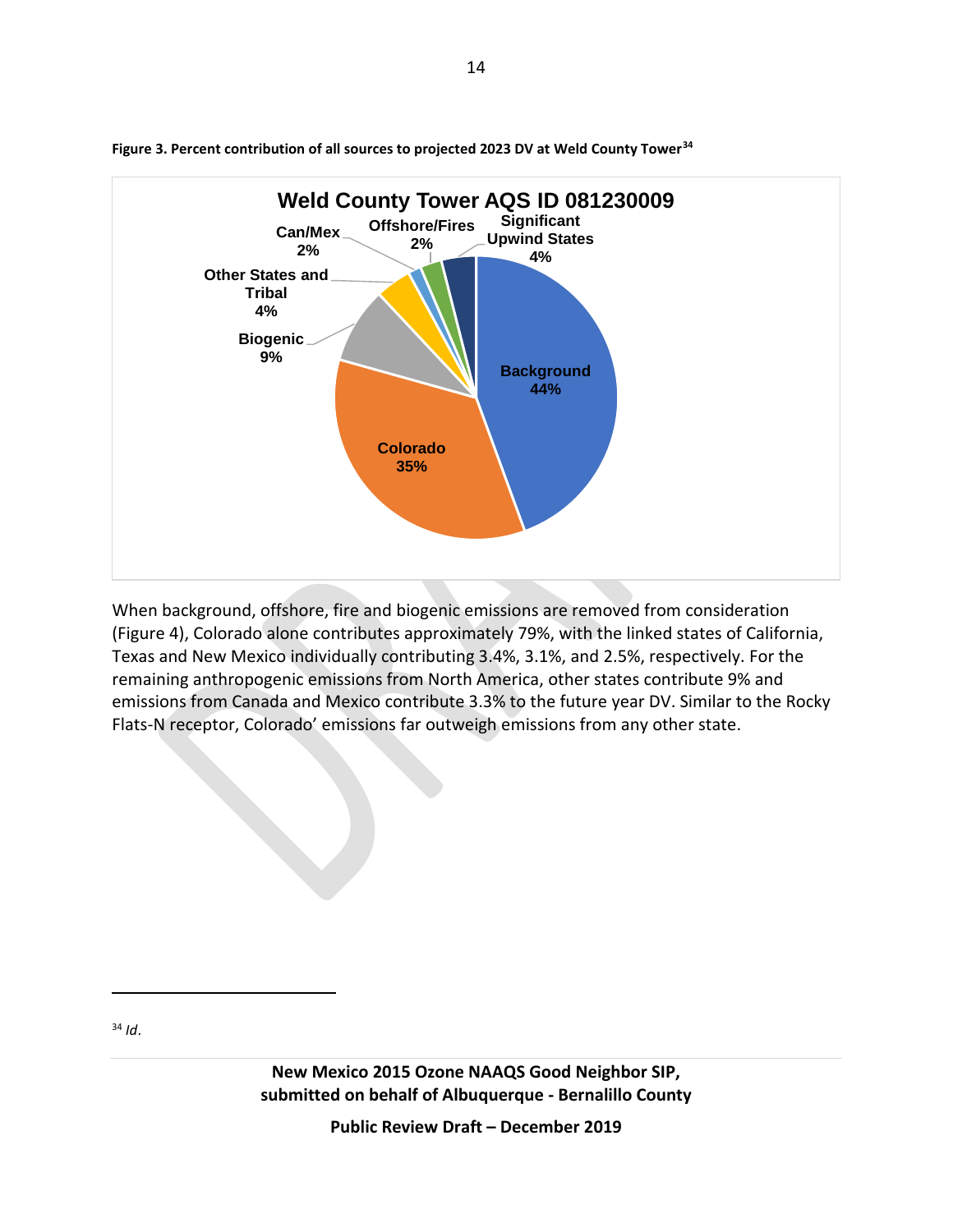

**Figure 3. Percent contribution of all sources to projected 2023 DV at Weld County Tower[34](#page-13-0)**

When background, offshore, fire and biogenic emissions are removed from consideration (Figure 4), Colorado alone contributes approximately 79%, with the linked states of California, Texas and New Mexico individually contributing 3.4%, 3.1%, and 2.5%, respectively. For the remaining anthropogenic emissions from North America, other states contribute 9% and emissions from Canada and Mexico contribute 3.3% to the future year DV. Similar to the Rocky Flats-N receptor, Colorado' emissions far outweigh emissions from any other state.

<span id="page-13-0"></span><sup>34</sup> *Id*.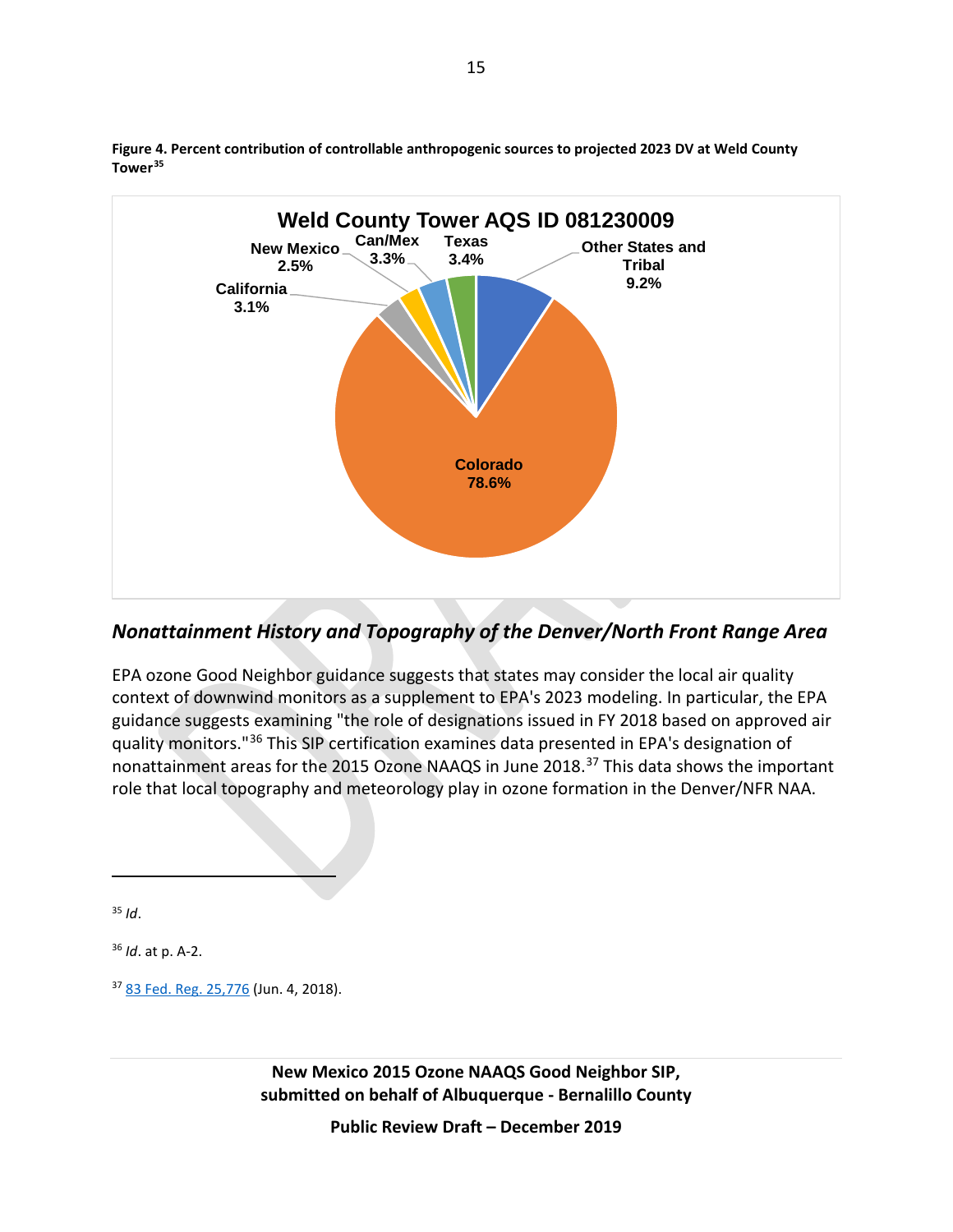

**Figure 4. Percent contribution of controllable anthropogenic sources to projected 2023 DV at Weld County Tower[35](#page-14-0)**

#### *Nonattainment History and Topography of the Denver/North Front Range Area*

EPA ozone Good Neighbor guidance suggests that states may consider the local air quality context of downwind monitors as a supplement to EPA's 2023 modeling. In particular, the EPA guidance suggests examining "the role of designations issued in FY 2018 based on approved air quality monitors."[36](#page-14-1) This SIP certification examines data presented in EPA's designation of nonattainment areas for the 2015 Ozone NAAQS in June 2018.[37](#page-14-2) This data shows the important role that local topography and meteorology play in ozone formation in the Denver/NFR NAA.

<span id="page-14-0"></span><sup>35</sup> *Id*.

 $\overline{a}$ 

<span id="page-14-1"></span><sup>36</sup> *Id*. at p. A-2.

<span id="page-14-2"></span><sup>37</sup> [83 Fed. Reg.](https://www.federalregister.gov/documents/2018/06/04/2018-11838/additional-air-quality-designations-for-the-2015-ozone-national-ambient-air-quality-standards) 25,776 (Jun. 4, 2018).

**New Mexico 2015 Ozone NAAQS Good Neighbor SIP, submitted on behalf of Albuquerque - Bernalillo County**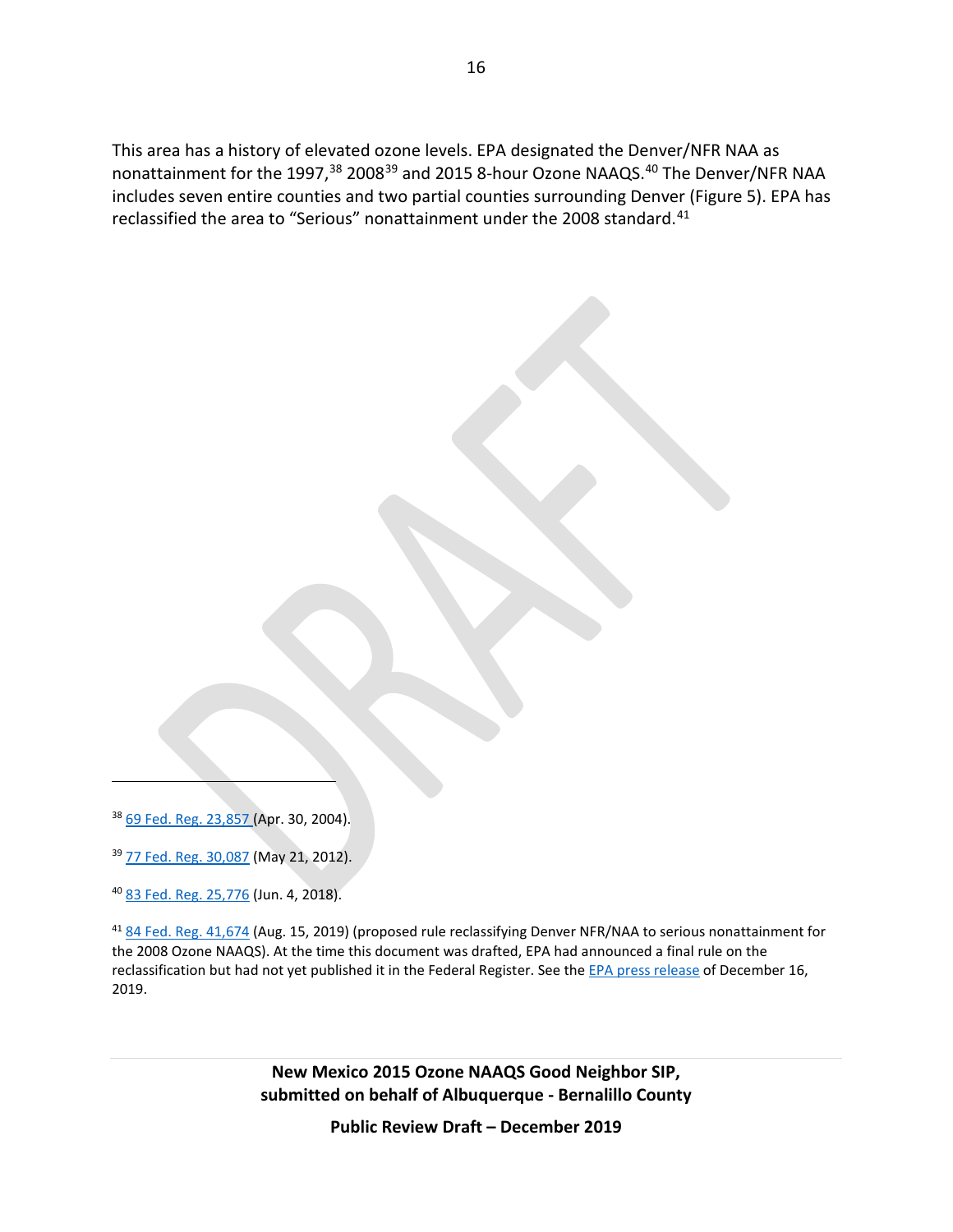This area has a history of elevated ozone levels. EPA designated the Denver/NFR NAA as nonattainment for the 1997,<sup>[38](#page-15-0)</sup> 2008<sup>[39](#page-15-1)</sup> and 2015 8-hour Ozone NAAQS.<sup>[40](#page-15-2)</sup> The Denver/NFR NAA includes seven entire counties and two partial counties surrounding Denver (Figure 5). EPA has reclassified the area to "Serious" nonattainment under the 2008 standard.<sup>[41](#page-15-3)</sup>

<span id="page-15-0"></span><sup>38</sup> [69 Fed. Reg. 23,857 \(](https://www.federalregister.gov/documents/2004/04/30/04-9152/air-quality-designations-and-classifications-for-the-8-hour-ozone-national-ambient-air-quality)Apr. 30, 2004).

 $\overline{a}$ 

<span id="page-15-1"></span><sup>39</sup> [77 Fed. Reg.](https://www.federalregister.gov/documents/2012/05/21/2012-11618/air-quality-designations-for-the-2008-ozone-national-ambient-air-quality-standards) 30,087 (May 21, 2012).

<span id="page-15-2"></span><sup>40</sup> [83 Fed. Reg.](https://www.federalregister.gov/documents/2018/06/04/2018-11838/additional-air-quality-designations-for-the-2015-ozone-national-ambient-air-quality-standards) 25,776 (Jun. 4, 2018).

<span id="page-15-3"></span><sup>41</sup> [84 Fed. Reg.](https://www.federalregister.gov/documents/2019/08/15/2019-17405/finding-of-failure-to-attain-and-reclassification-of-denver-area-for-the-2008-ozone-national-ambient) 41,674 (Aug. 15, 2019) (proposed rule reclassifying Denver NFR/NAA to serious nonattainment for the 2008 Ozone NAAQS). At the time this document was drafted, EPA had announced a final rule on the reclassification but had not yet published it in the Federal Register. See th[e EPA press release](https://www.epa.gov/newsreleases/epa-reclassifies-denver-area-serious-nonattainment-ozone) of December 16, 2019.

> **New Mexico 2015 Ozone NAAQS Good Neighbor SIP, submitted on behalf of Albuquerque - Bernalillo County**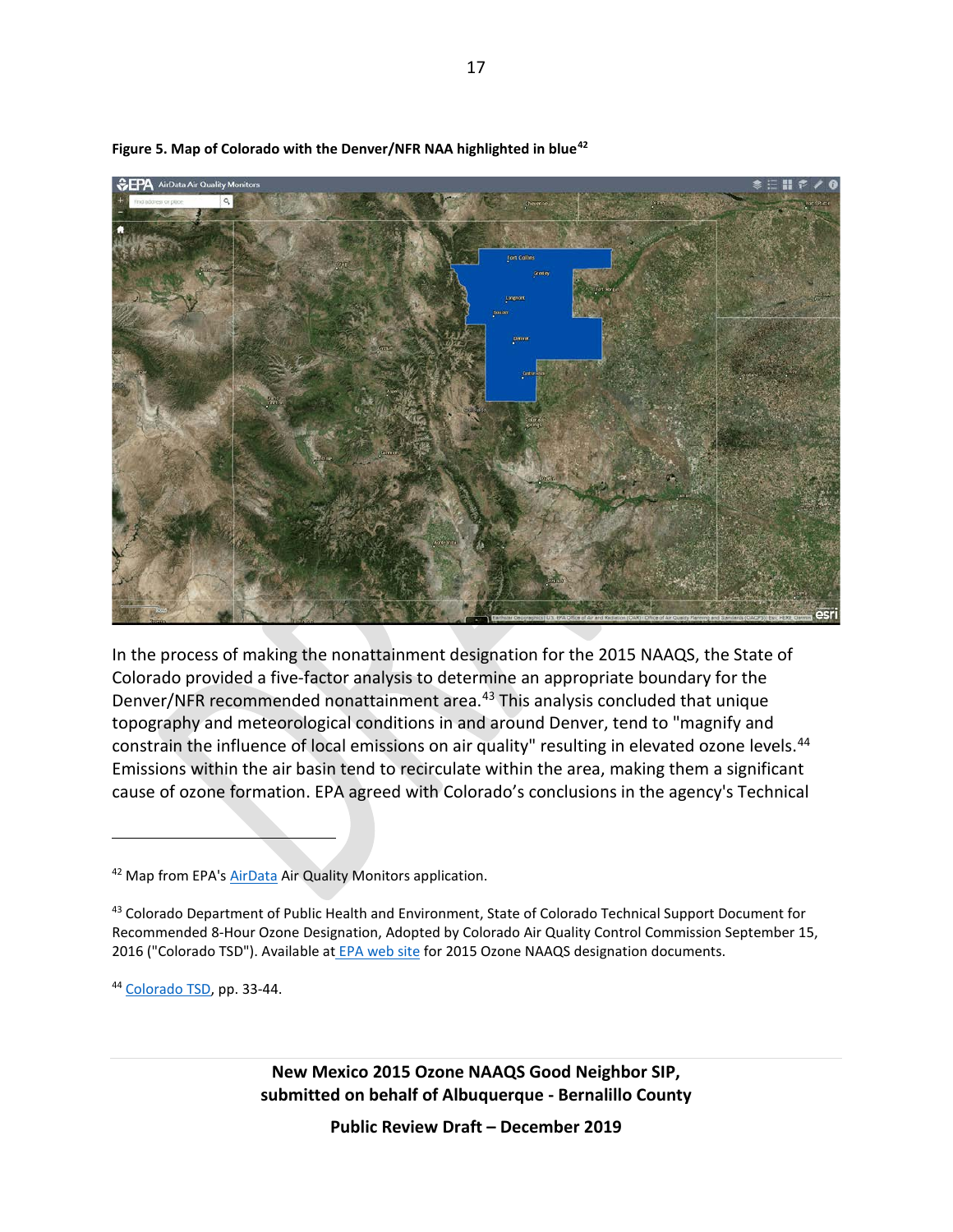

**Figure 5. Map of Colorado with the Denver/NFR NAA highlighted in blue[42](#page-16-0)**

In the process of making the nonattainment designation for the 2015 NAAQS, the State of Colorado provided a five-factor analysis to determine an appropriate boundary for the Denver/NFR recommended nonattainment area. [43](#page-16-1) This analysis concluded that unique topography and meteorological conditions in and around Denver, tend to "magnify and constrain the influence of local emissions on air quality" resulting in elevated ozone levels.<sup>[44](#page-16-2)</sup> Emissions within the air basin tend to recirculate within the area, making them a significant cause of ozone formation. EPA agreed with Colorado's conclusions in the agency's Technical

<span id="page-16-2"></span><sup>44</sup> [Colorado TSD,](https://www.epa.gov/ozone-designations/ozone-designations-2015-standards-colorado-state-recommendations-and-epa-response) pp. 33-44.

 $\overline{a}$ 

**New Mexico 2015 Ozone NAAQS Good Neighbor SIP, submitted on behalf of Albuquerque - Bernalillo County**

<span id="page-16-0"></span><sup>42</sup> Map from EPA's [AirData](https://www.epa.gov/outdoor-air-quality-data/interactive-map-air-quality-monitors) Air Quality Monitors application.

<span id="page-16-1"></span><sup>43</sup> Colorado Department of Public Health and Environment, State of Colorado Technical Support Document for Recommended 8-Hour Ozone Designation, Adopted by Colorado Air Quality Control Commission September 15, 2016 ("Colorado TSD"). Available at [EPA web site](https://www.epa.gov/ozone-designations/ozone-designations-2015-standards-colorado-state-recommendations-and-epa-response) for 2015 Ozone NAAQS designation documents.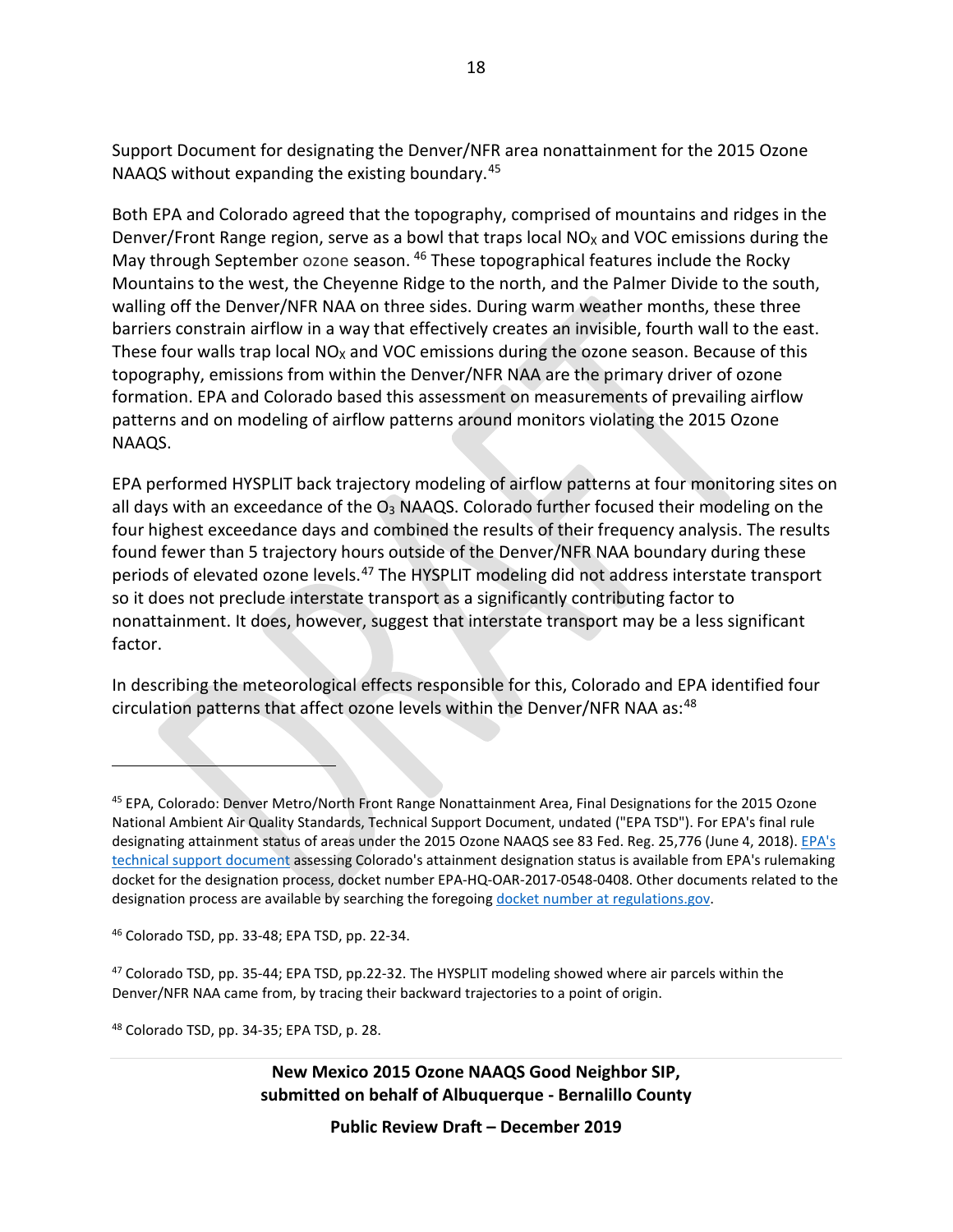Support Document for designating the Denver/NFR area nonattainment for the 2015 Ozone NAAQS without expanding the existing boundary.<sup>[45](#page-17-0)</sup>

Both EPA and Colorado agreed that the topography, comprised of mountains and ridges in the Denver/Front Range region, serve as a bowl that traps local  $NO<sub>X</sub>$  and VOC emissions during the May through September ozone season. <sup>[46](#page-17-1)</sup> These topographical features include the Rocky Mountains to the west, the Cheyenne Ridge to the north, and the Palmer Divide to the south, walling off the Denver/NFR NAA on three sides. During warm weather months, these three barriers constrain airflow in a way that effectively creates an invisible, fourth wall to the east. These four walls trap local  $NO<sub>X</sub>$  and VOC emissions during the ozone season. Because of this topography, emissions from within the Denver/NFR NAA are the primary driver of ozone formation. EPA and Colorado based this assessment on measurements of prevailing airflow patterns and on modeling of airflow patterns around monitors violating the 2015 Ozone NAAQS.

EPA performed HYSPLIT back trajectory modeling of airflow patterns at four monitoring sites on all days with an exceedance of the  $O_3$  NAAQS. Colorado further focused their modeling on the four highest exceedance days and combined the results of their frequency analysis. The results found fewer than 5 trajectory hours outside of the Denver/NFR NAA boundary during these periods of elevated ozone levels.<sup>[47](#page-17-2)</sup> The HYSPLIT modeling did not address interstate transport so it does not preclude interstate transport as a significantly contributing factor to nonattainment. It does, however, suggest that interstate transport may be a less significant factor.

In describing the meteorological effects responsible for this, Colorado and EPA identified four circulation patterns that affect ozone levels within the Denver/NFR NAA as:<sup>[48](#page-17-3)</sup>

 $\overline{a}$ 

<span id="page-17-3"></span><sup>48</sup> Colorado TSD, pp. 34-35; EPA TSD, p. 28.

**New Mexico 2015 Ozone NAAQS Good Neighbor SIP, submitted on behalf of Albuquerque - Bernalillo County**

<span id="page-17-0"></span><sup>&</sup>lt;sup>45</sup> EPA, Colorado: Denver Metro/North Front Range Nonattainment Area, Final Designations for the 2015 Ozone National Ambient Air Quality Standards, Technical Support Document, undated ("EPA TSD"). For EPA's final rule designating attainment status of areas under the 2015 Ozone NAAQS see 83 Fed. Reg. 25,776 (June 4, 2018). [EPA's](https://www.regulations.gov/document?D=EPA-HQ-OAR-2017-0548-0408)  [technical support document](https://www.regulations.gov/document?D=EPA-HQ-OAR-2017-0548-0408) assessing Colorado's attainment designation status is available from EPA's rulemaking docket for the designation process, docket number EPA-HQ-OAR-2017-0548-0408. Other documents related to the designation process are available by searching the foregoing [docket number at regulations.gov.](https://www.regulations.gov/docket?D=EPA-HQ-OAR-2017-0548)

<span id="page-17-1"></span><sup>46</sup> Colorado TSD, pp. 33-48; EPA TSD, pp. 22-34.

<span id="page-17-2"></span><sup>47</sup> Colorado TSD, pp. 35-44; EPA TSD, pp.22-32. The HYSPLIT modeling showed where air parcels within the Denver/NFR NAA came from, by tracing their backward trajectories to a point of origin.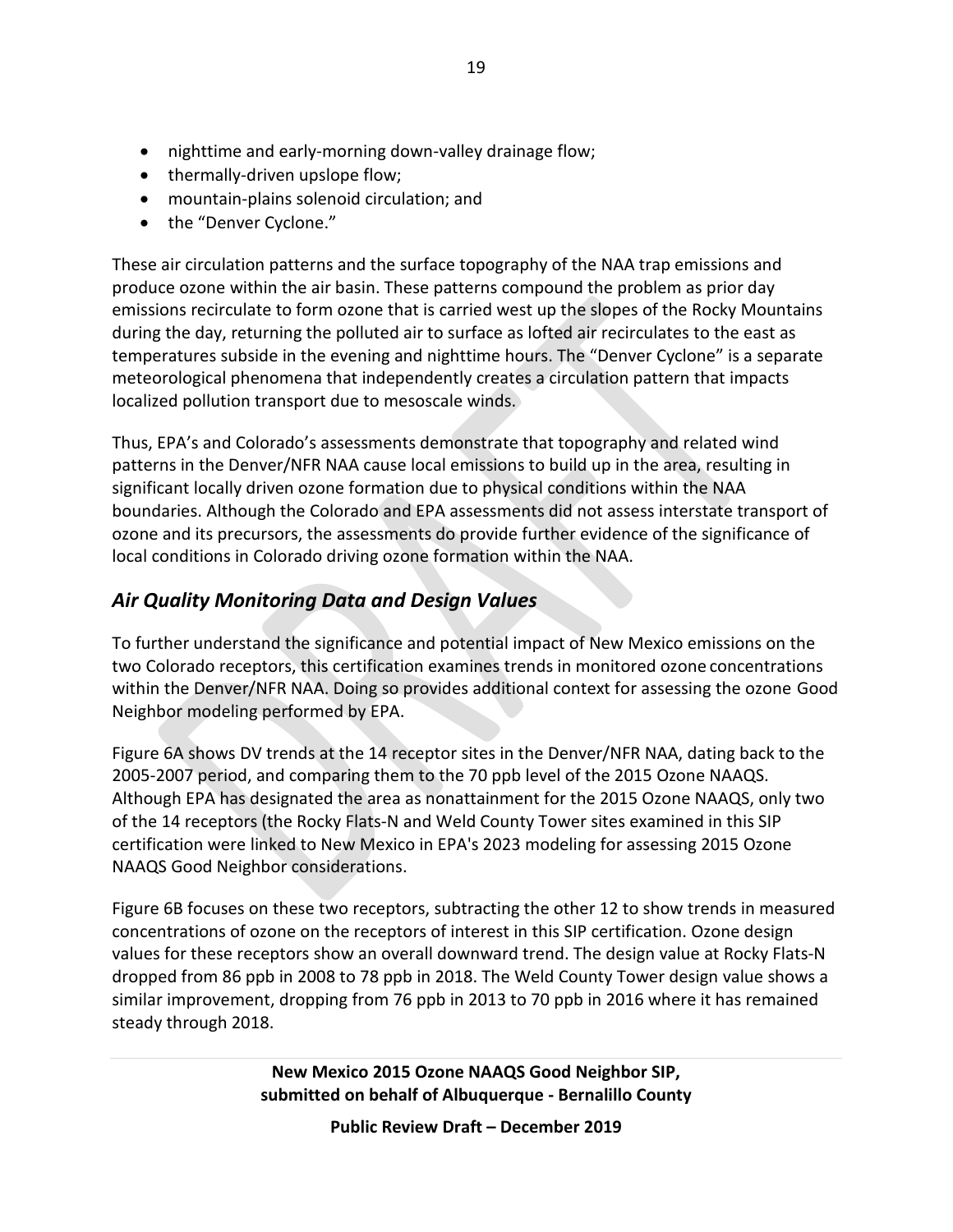- nighttime and early-morning down-valley drainage flow;
- thermally-driven upslope flow;
- mountain-plains solenoid circulation; and
- the "Denver Cyclone."

These air circulation patterns and the surface topography of the NAA trap emissions and produce ozone within the air basin. These patterns compound the problem as prior day emissions recirculate to form ozone that is carried west up the slopes of the Rocky Mountains during the day, returning the polluted air to surface as lofted air recirculates to the east as temperatures subside in the evening and nighttime hours. The "Denver Cyclone" is a separate meteorological phenomena that independently creates a circulation pattern that impacts localized pollution transport due to mesoscale winds.

Thus, EPA's and Colorado's assessments demonstrate that topography and related wind patterns in the Denver/NFR NAA cause local emissions to build up in the area, resulting in significant locally driven ozone formation due to physical conditions within the NAA boundaries. Although the Colorado and EPA assessments did not assess interstate transport of ozone and its precursors, the assessments do provide further evidence of the significance of local conditions in Colorado driving ozone formation within the NAA.

### *Air Quality Monitoring Data and Design Values*

To further understand the significance and potential impact of New Mexico emissions on the two Colorado receptors, this certification examines trends in monitored ozone concentrations within the Denver/NFR NAA. Doing so provides additional context for assessing the ozone Good Neighbor modeling performed by EPA.

Figure 6A shows DV trends at the 14 receptor sites in the Denver/NFR NAA, dating back to the 2005-2007 period, and comparing them to the 70 ppb level of the 2015 Ozone NAAQS. Although EPA has designated the area as nonattainment for the 2015 Ozone NAAQS, only two of the 14 receptors (the Rocky Flats-N and Weld County Tower sites examined in this SIP certification were linked to New Mexico in EPA's 2023 modeling for assessing 2015 Ozone NAAQS Good Neighbor considerations.

Figure 6B focuses on these two receptors, subtracting the other 12 to show trends in measured concentrations of ozone on the receptors of interest in this SIP certification. Ozone design values for these receptors show an overall downward trend. The design value at Rocky Flats-N dropped from 86 ppb in 2008 to 78 ppb in 2018. The Weld County Tower design value shows a similar improvement, dropping from 76 ppb in 2013 to 70 ppb in 2016 where it has remained steady through 2018.

> **New Mexico 2015 Ozone NAAQS Good Neighbor SIP, submitted on behalf of Albuquerque - Bernalillo County**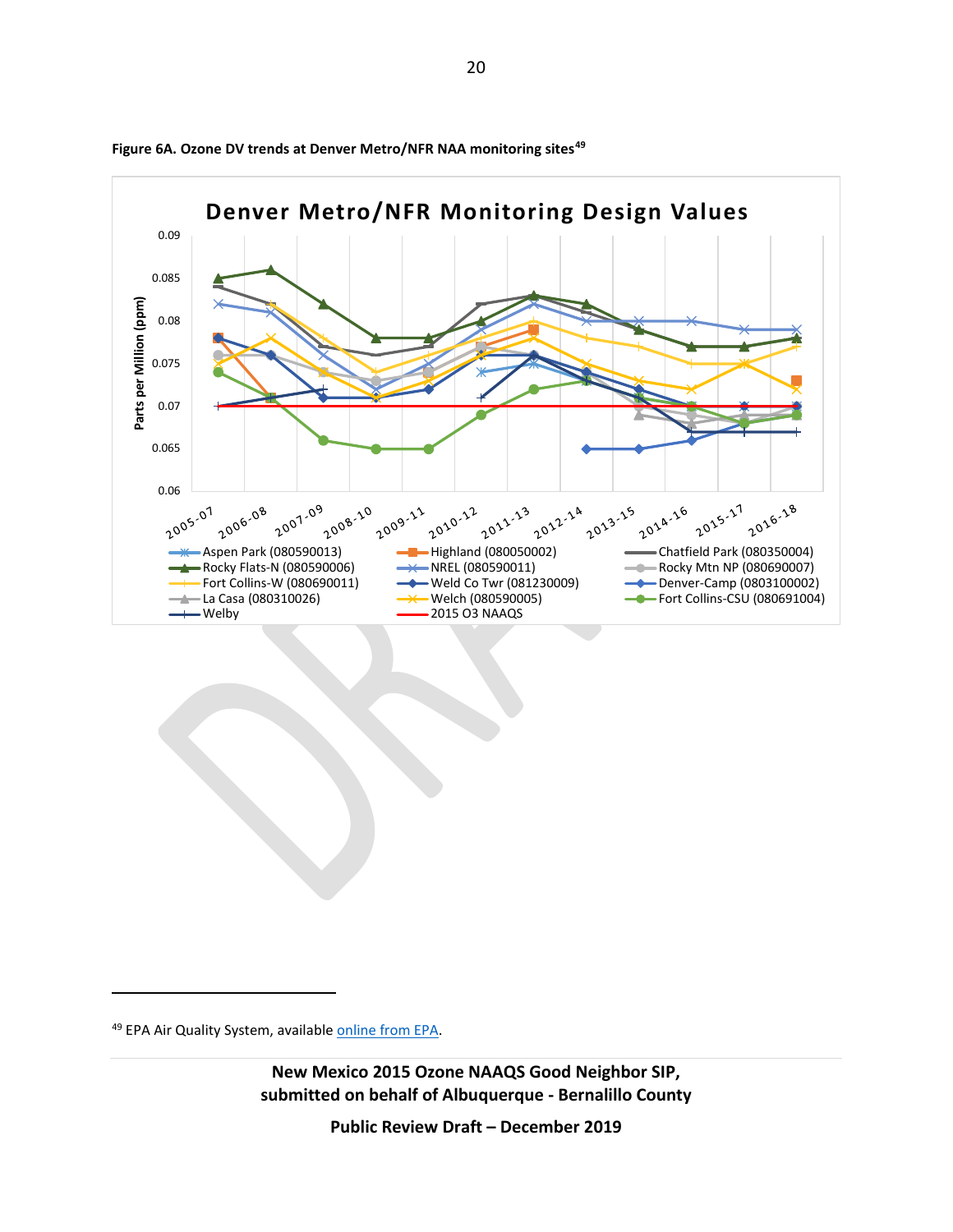

**Figure 6A. Ozone DV trends at Denver Metro/NFR NAA monitoring sites[49](#page-19-0)**

 $\overline{a}$ 

<span id="page-19-0"></span><sup>49</sup> EPA Air Quality System, availabl[e online from EPA.](https://aqs.epa.gov/aqsweb/documents/data_mart_welcome.html)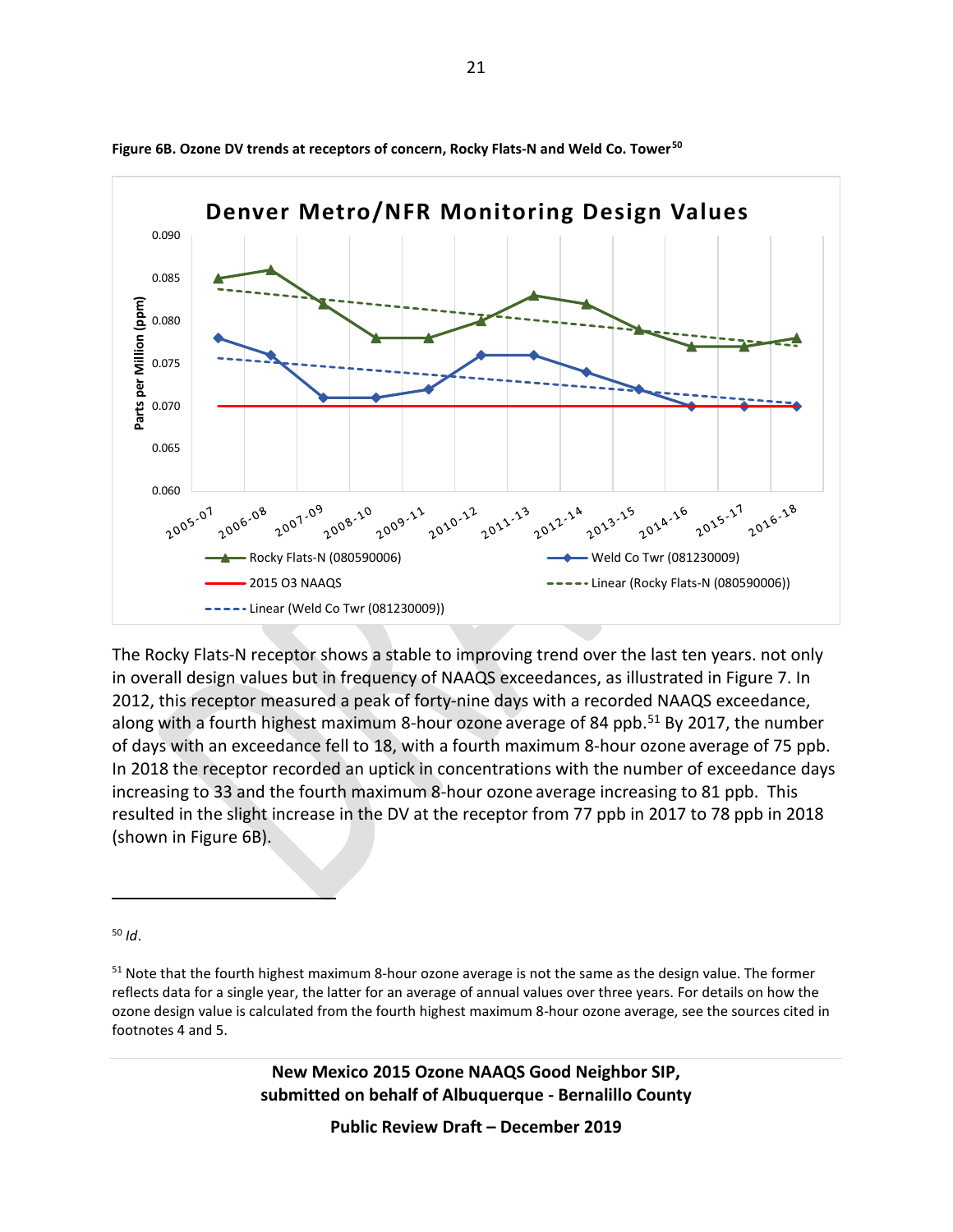

**Figure 6B. Ozone DV trends at receptors of concern, Rocky Flats-N and Weld Co. Tower[50](#page-20-0)**

The Rocky Flats-N receptor shows a stable to improving trend over the last ten years. not only in overall design values but in frequency of NAAQS exceedances, as illustrated in Figure 7. In 2012, this receptor measured a peak of forty-nine days with a recorded NAAQS exceedance, along with a fourth highest maximum 8-hour ozone average of 84 ppb.<sup>[51](#page-20-1)</sup> By 2017, the number of days with an exceedance fell to 18, with a fourth maximum 8-hour ozone average of 75 ppb. In 2018 the receptor recorded an uptick in concentrations with the number of exceedance days increasing to 33 and the fourth maximum 8-hour ozone average increasing to 81 ppb. This resulted in the slight increase in the DV at the receptor from 77 ppb in 2017 to 78 ppb in 2018 (shown in Figure 6B).

<span id="page-20-0"></span><sup>50</sup> *Id*.

 $\overline{a}$ 

**New Mexico 2015 Ozone NAAQS Good Neighbor SIP, submitted on behalf of Albuquerque - Bernalillo County**

<span id="page-20-1"></span><sup>&</sup>lt;sup>51</sup> Note that the fourth highest maximum 8-hour ozone average is not the same as the design value. The former reflects data for a single year, the latter for an average of annual values over three years. For details on how the ozone design value is calculated from the fourth highest maximum 8-hour ozone average, see the sources cited in footnotes [4](#page-0-4) and [5.](#page-1-5)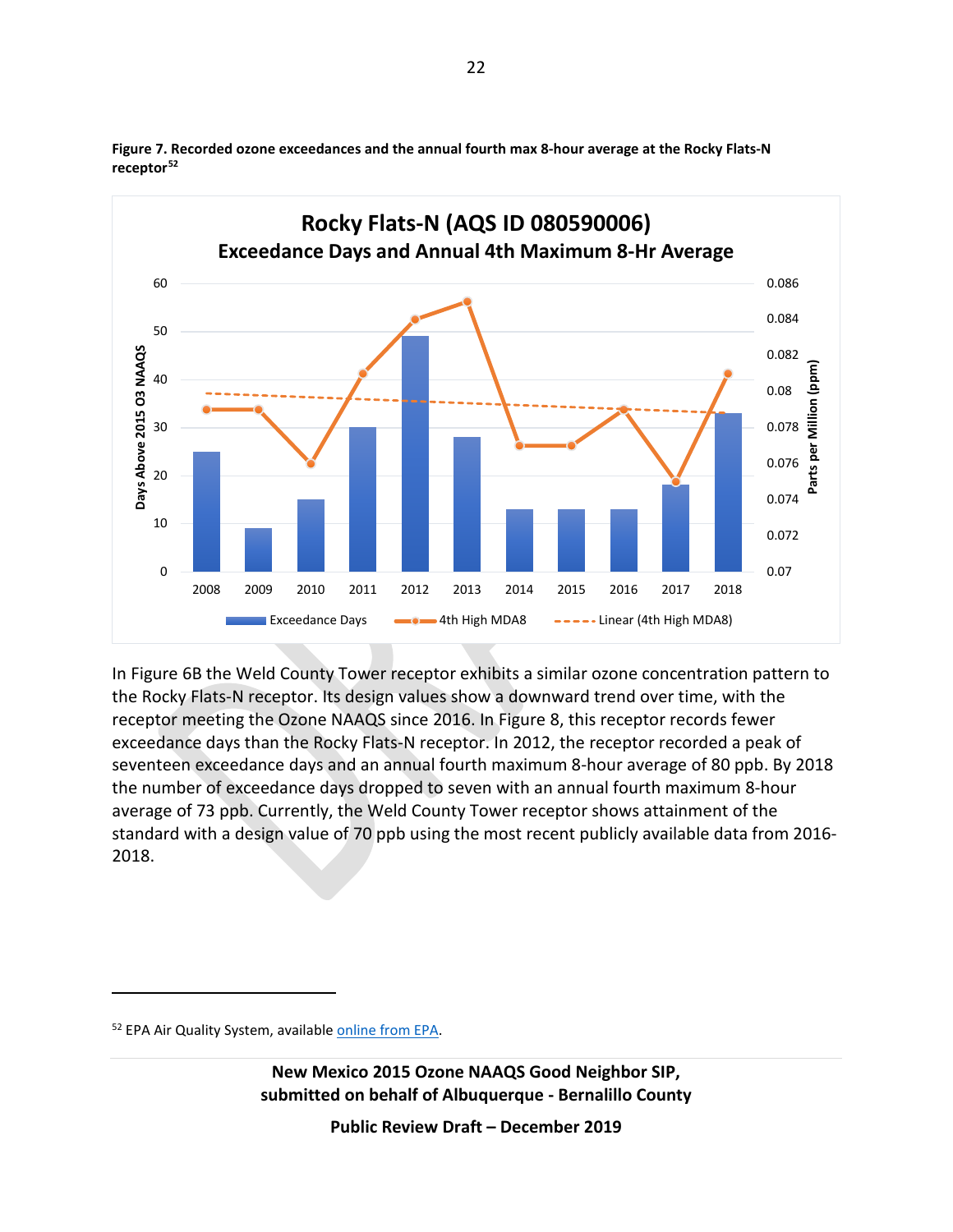

**Figure 7. Recorded ozone exceedances and the annual fourth max 8-hour average at the Rocky Flats-N receptor[52](#page-21-0)**

In Figure 6B the Weld County Tower receptor exhibits a similar ozone concentration pattern to the Rocky Flats-N receptor. Its design values show a downward trend over time, with the receptor meeting the Ozone NAAQS since 2016. In Figure 8, this receptor records fewer exceedance days than the Rocky Flats-N receptor. In 2012, the receptor recorded a peak of seventeen exceedance days and an annual fourth maximum 8-hour average of 80 ppb. By 2018 the number of exceedance days dropped to seven with an annual fourth maximum 8-hour average of 73 ppb. Currently, the Weld County Tower receptor shows attainment of the standard with a design value of 70 ppb using the most recent publicly available data from 2016- 2018.

 $\overline{a}$ 

**New Mexico 2015 Ozone NAAQS Good Neighbor SIP, submitted on behalf of Albuquerque - Bernalillo County**

<span id="page-21-0"></span><sup>52</sup> EPA Air Quality System, availabl[e online from EPA.](https://aqs.epa.gov/aqsweb/documents/data_mart_welcome.html)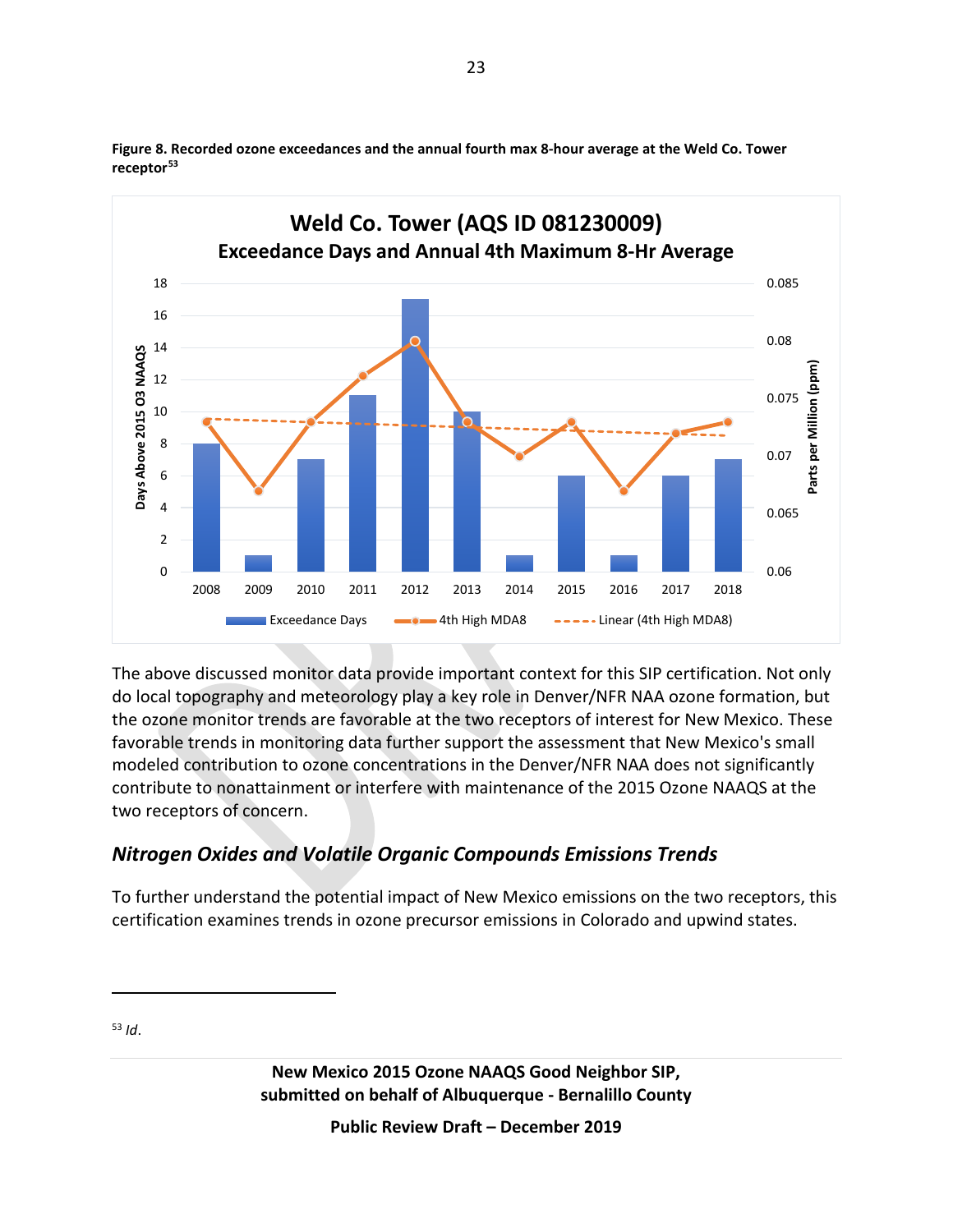

**Figure 8. Recorded ozone exceedances and the annual fourth max 8-hour average at the Weld Co. Tower receptor[53](#page-22-0)**

The above discussed monitor data provide important context for this SIP certification. Not only do local topography and meteorology play a key role in Denver/NFR NAA ozone formation, but the ozone monitor trends are favorable at the two receptors of interest for New Mexico. These favorable trends in monitoring data further support the assessment that New Mexico's small modeled contribution to ozone concentrations in the Denver/NFR NAA does not significantly contribute to nonattainment or interfere with maintenance of the 2015 Ozone NAAQS at the two receptors of concern.

### *Nitrogen Oxides and Volatile Organic Compounds Emissions Trends*

To further understand the potential impact of New Mexico emissions on the two receptors, this certification examines trends in ozone precursor emissions in Colorado and upwind states.

<span id="page-22-0"></span><sup>53</sup> *Id*.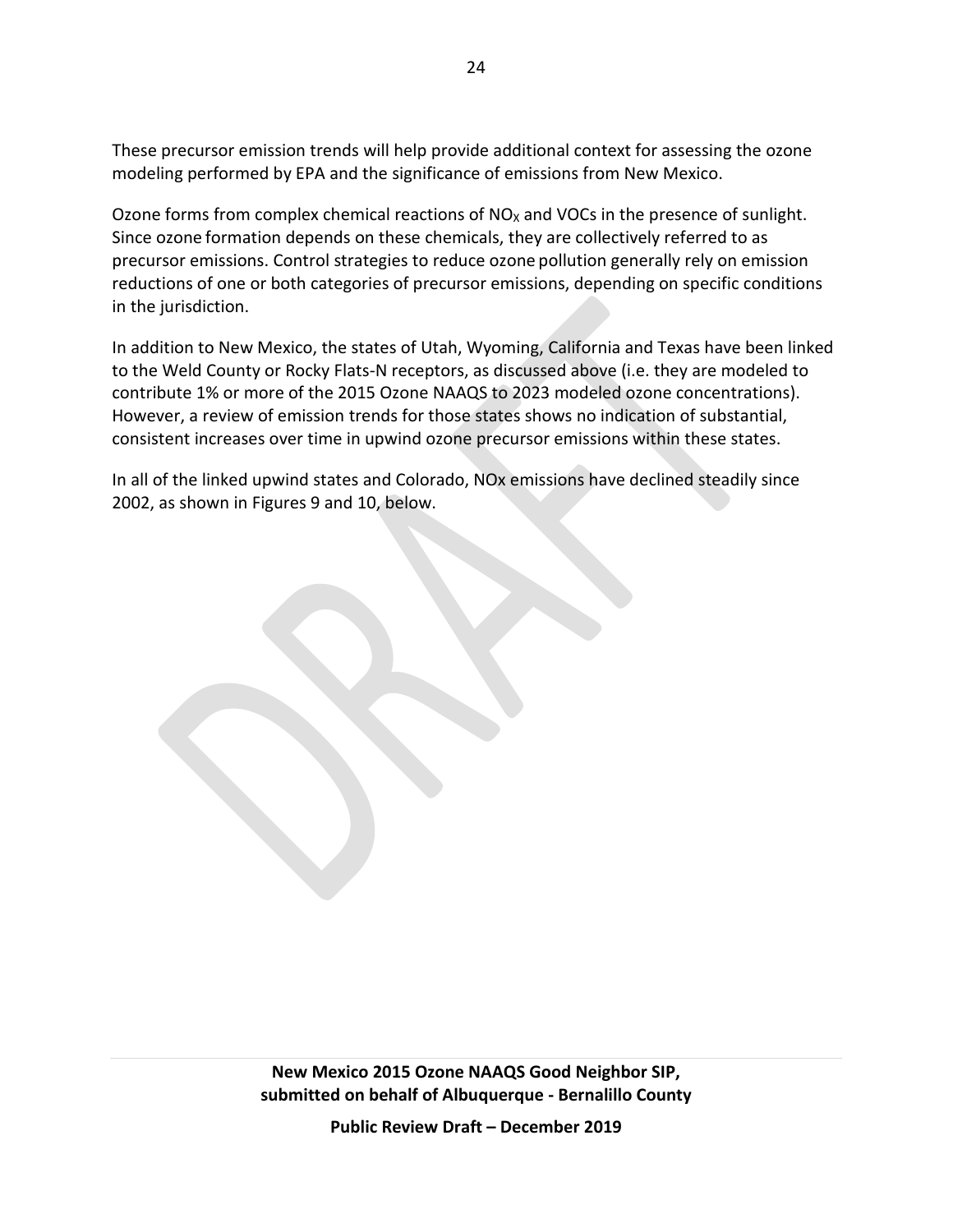These precursor emission trends will help provide additional context for assessing the ozone modeling performed by EPA and the significance of emissions from New Mexico.

Ozone forms from complex chemical reactions of  $NO<sub>x</sub>$  and VOCs in the presence of sunlight. Since ozone formation depends on these chemicals, they are collectively referred to as precursor emissions. Control strategies to reduce ozone pollution generally rely on emission reductions of one or both categories of precursor emissions, depending on specific conditions in the jurisdiction.

In addition to New Mexico, the states of Utah, Wyoming, California and Texas have been linked to the Weld County or Rocky Flats-N receptors, as discussed above (i.e. they are modeled to contribute 1% or more of the 2015 Ozone NAAQS to 2023 modeled ozone concentrations). However, a review of emission trends for those states shows no indication of substantial, consistent increases over time in upwind ozone precursor emissions within these states.

In all of the linked upwind states and Colorado, NOx emissions have declined steadily since 2002, as shown in Figures 9 and 10, below.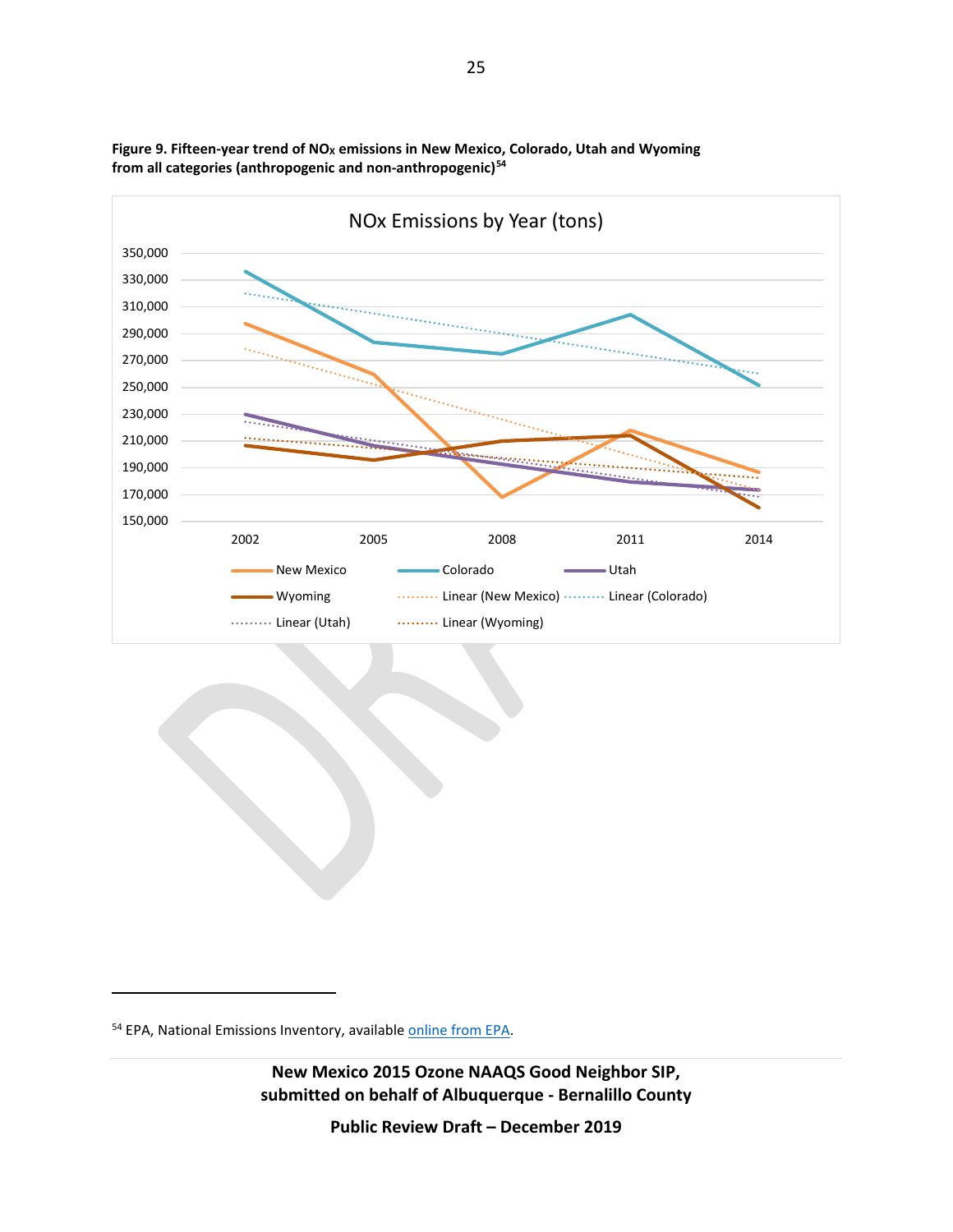

Figure 9. Fifteen-year trend of NO<sub>x</sub> emissions in New Mexico, Colorado, Utah and Wyoming **from all categories (anthropogenic and non-anthropogenic)[54](#page-24-0)**

<span id="page-24-0"></span><sup>54</sup> EPA, National Emissions Inventory, available **online from EPA**.

 $\overline{a}$ 

**New Mexico 2015 Ozone NAAQS Good Neighbor SIP, submitted on behalf of Albuquerque - Bernalillo County**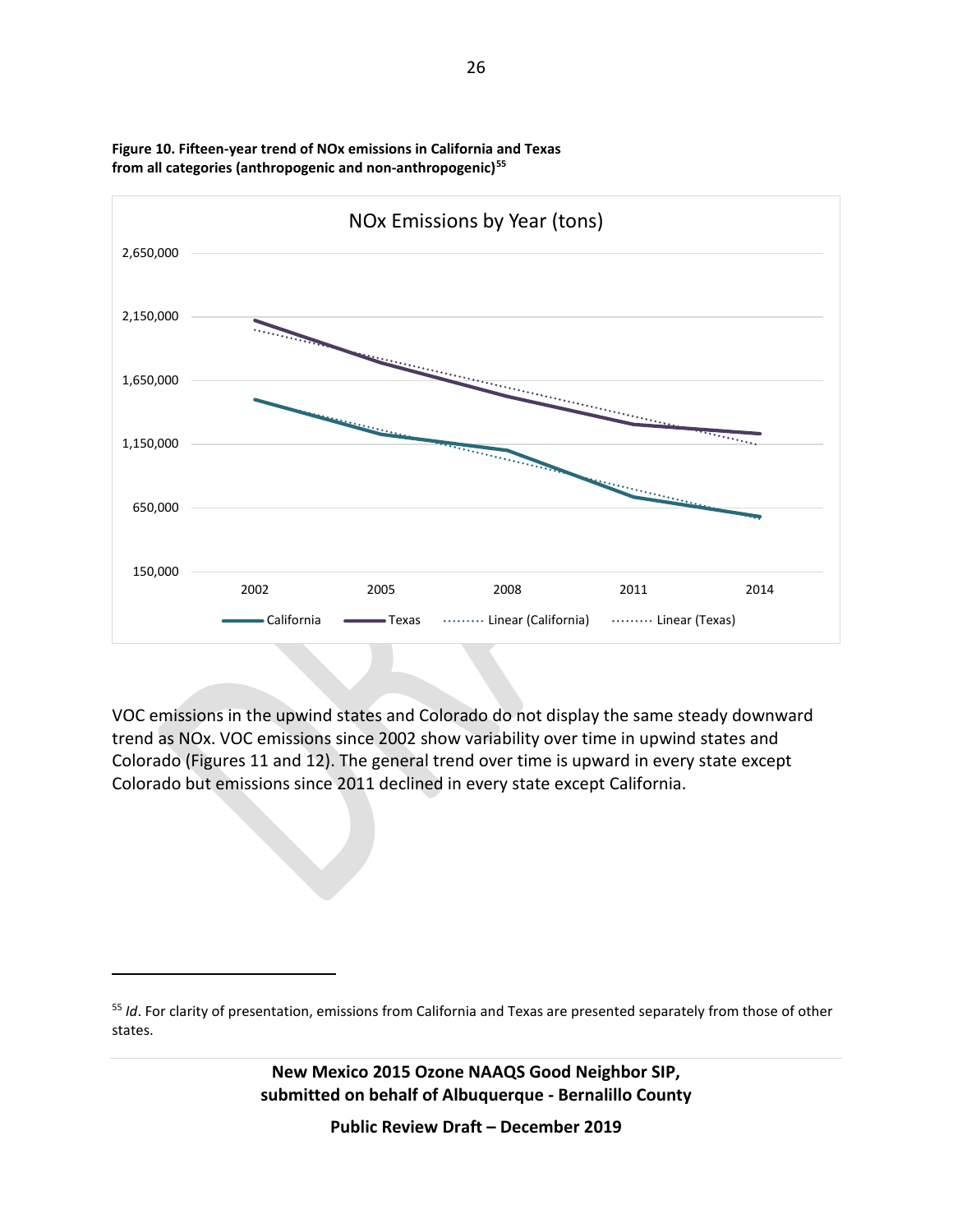

**Figure 10. Fifteen-year trend of NOx emissions in California and Texas from all categories (anthropogenic and non-anthropogenic)[55](#page-25-0)**

VOC emissions in the upwind states and Colorado do not display the same steady downward trend as NOx. VOC emissions since 2002 show variability over time in upwind states and Colorado (Figures 11 and 12). The general trend over time is upward in every state except Colorado but emissions since 2011 declined in every state except California.

 $\overline{a}$ 

<span id="page-25-0"></span><sup>55</sup> *Id*. For clarity of presentation, emissions from California and Texas are presented separately from those of other states.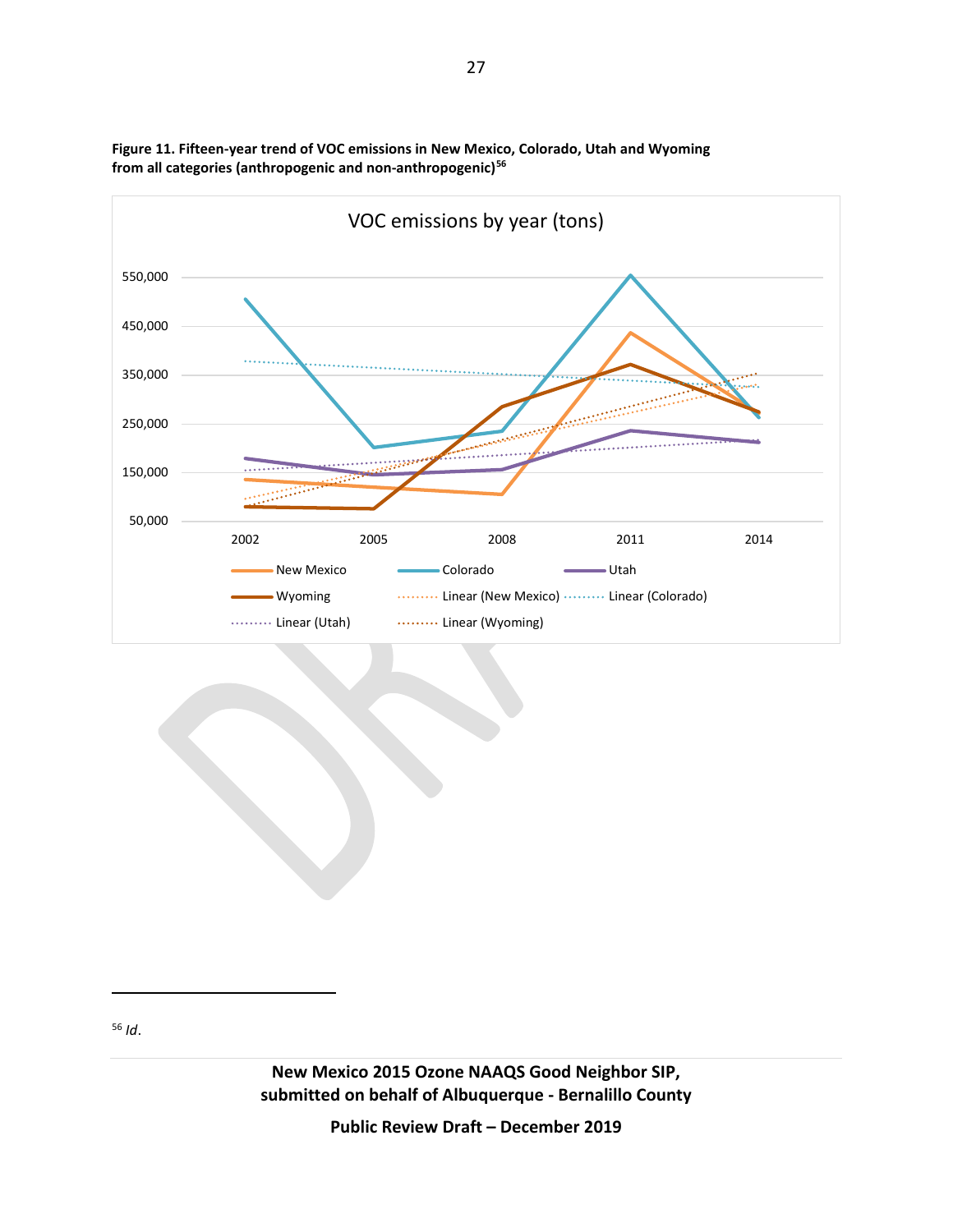

**Figure 11. Fifteen-year trend of VOC emissions in New Mexico, Colorado, Utah and Wyoming from all categories (anthropogenic and non-anthropogenic)[56](#page-26-0)**

<span id="page-26-0"></span><sup>56</sup> *Id*.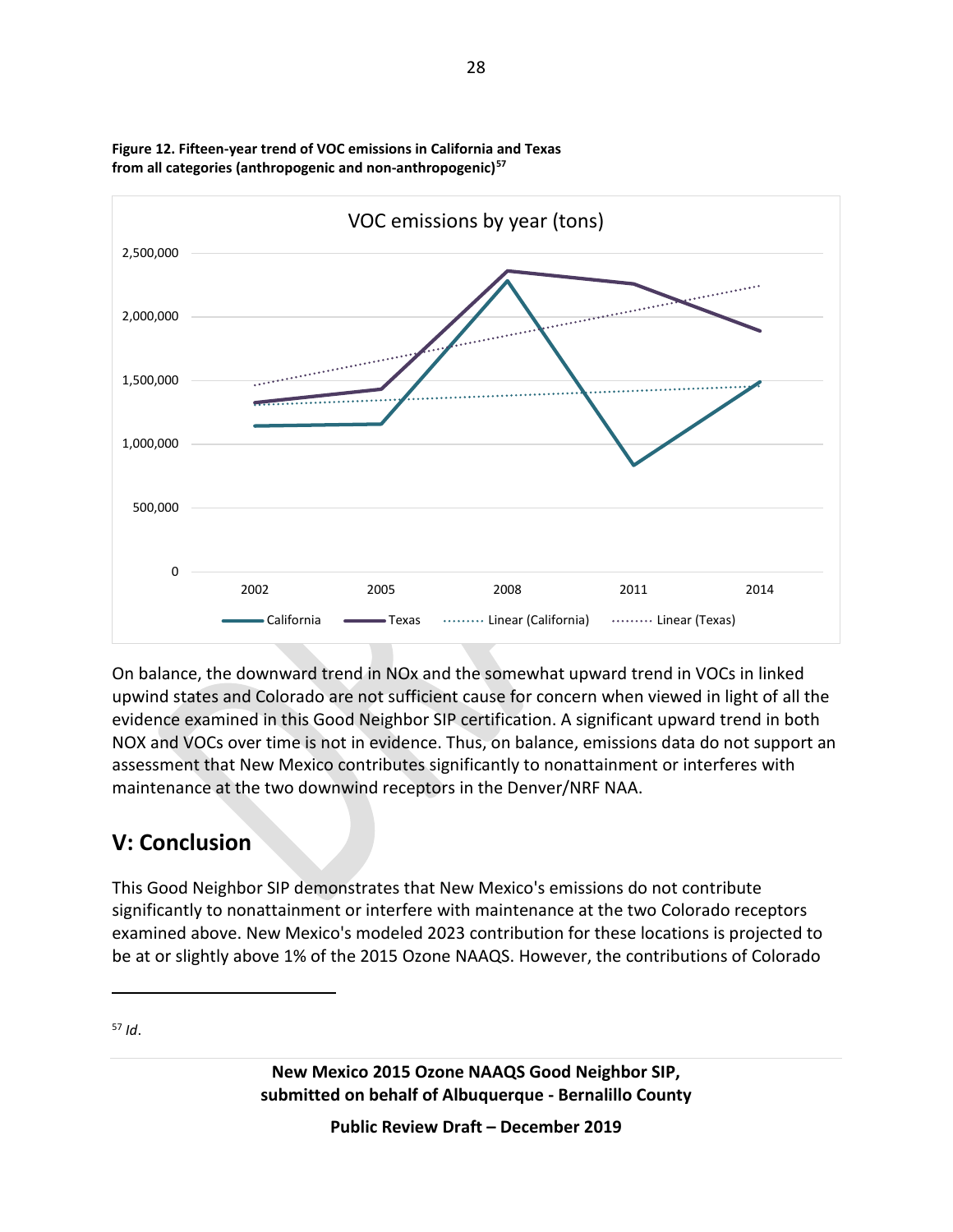

**Figure 12. Fifteen-year trend of VOC emissions in California and Texas from all categories (anthropogenic and non-anthropogenic)[57](#page-27-0)**

On balance, the downward trend in NOx and the somewhat upward trend in VOCs in linked upwind states and Colorado are not sufficient cause for concern when viewed in light of all the evidence examined in this Good Neighbor SIP certification. A significant upward trend in both NOX and VOCs over time is not in evidence. Thus, on balance, emissions data do not support an assessment that New Mexico contributes significantly to nonattainment or interferes with maintenance at the two downwind receptors in the Denver/NRF NAA.

# **V: Conclusion**

This Good Neighbor SIP demonstrates that New Mexico's emissions do not contribute significantly to nonattainment or interfere with maintenance at the two Colorado receptors examined above. New Mexico's modeled 2023 contribution for these locations is projected to be at or slightly above 1% of the 2015 Ozone NAAQS. However, the contributions of Colorado

<span id="page-27-0"></span><sup>57</sup> *Id*.

 $\overline{a}$ 

**New Mexico 2015 Ozone NAAQS Good Neighbor SIP, submitted on behalf of Albuquerque - Bernalillo County**